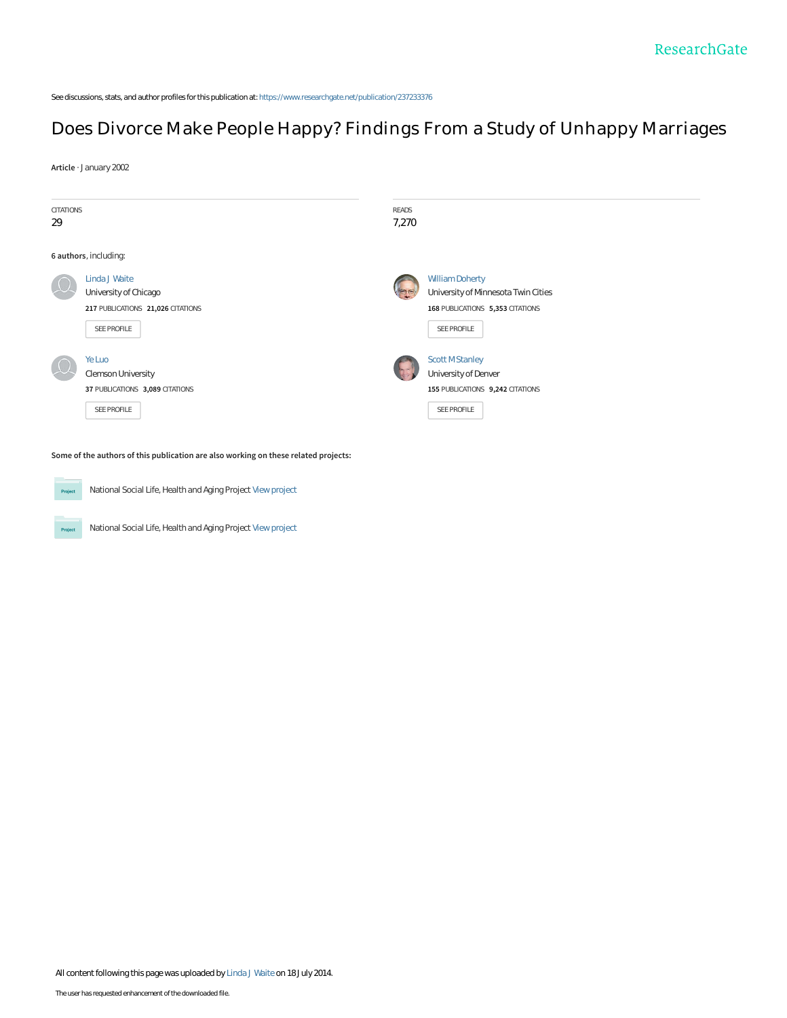See discussions, stats, and author profiles for this publication at: [https://www.researchgate.net/publication/237233376](https://www.researchgate.net/publication/237233376_Does_Divorce_Make_People_Happy_Findings_From_a_Study_of_Unhappy_Marriages?enrichId=rgreq-e18639d1702aea41f6305a93976f2ce5-XXX&enrichSource=Y292ZXJQYWdlOzIzNzIzMzM3NjtBUzoxMjAyMzkwMzU1MjMwNzJAMTQwNTY3ODYyODE4NQ%3D%3D&el=1_x_2&_esc=publicationCoverPdf)

# [Does Divorce Make People Happy? Findings From a Study of Unhappy Marriages](https://www.researchgate.net/publication/237233376_Does_Divorce_Make_People_Happy_Findings_From_a_Study_of_Unhappy_Marriages?enrichId=rgreq-e18639d1702aea41f6305a93976f2ce5-XXX&enrichSource=Y292ZXJQYWdlOzIzNzIzMzM3NjtBUzoxMjAyMzkwMzU1MjMwNzJAMTQwNTY3ODYyODE4NQ%3D%3D&el=1_x_3&_esc=publicationCoverPdf)

**Article** · January 2002



**Some of the authors of this publication are also working on these related projects:**

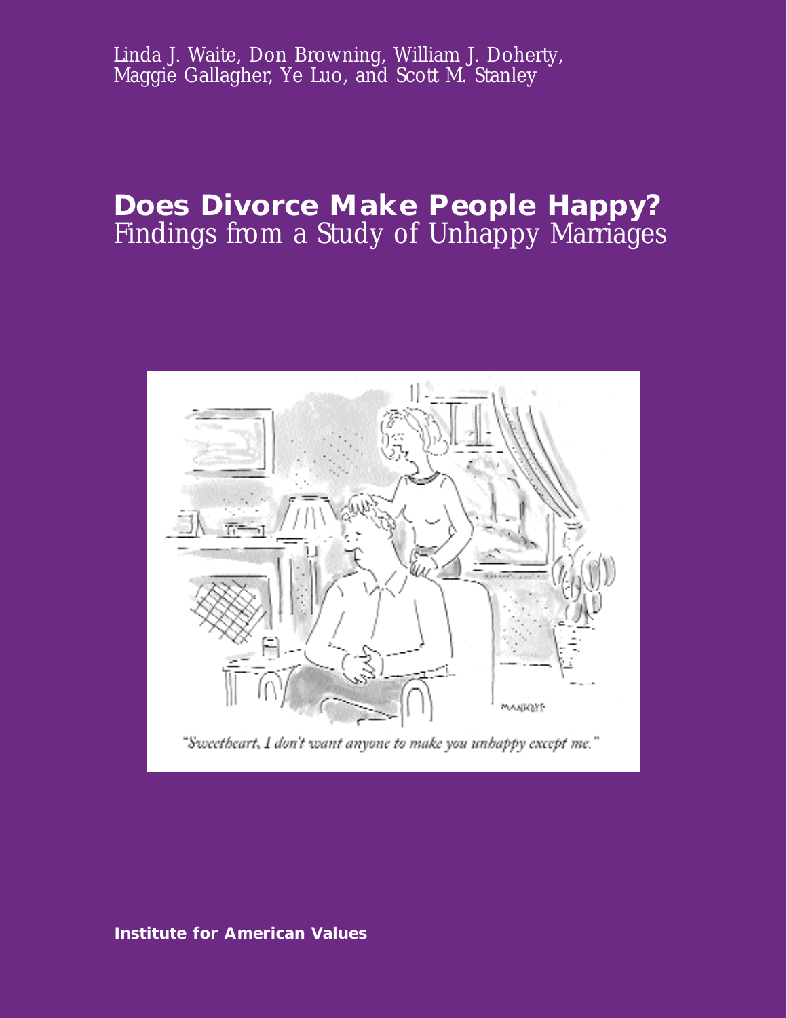Linda J. Waite, Don Browning, William J. Doherty, Maggie Gallagher, Ye Luo, and Scott M. Stanley

# **Does Divorce Make People Happy?** Findings from a Study of Unhappy Marriages



"Sweetheart, I don't want anyone to make you unbappy except me."

# **Institute for American Values**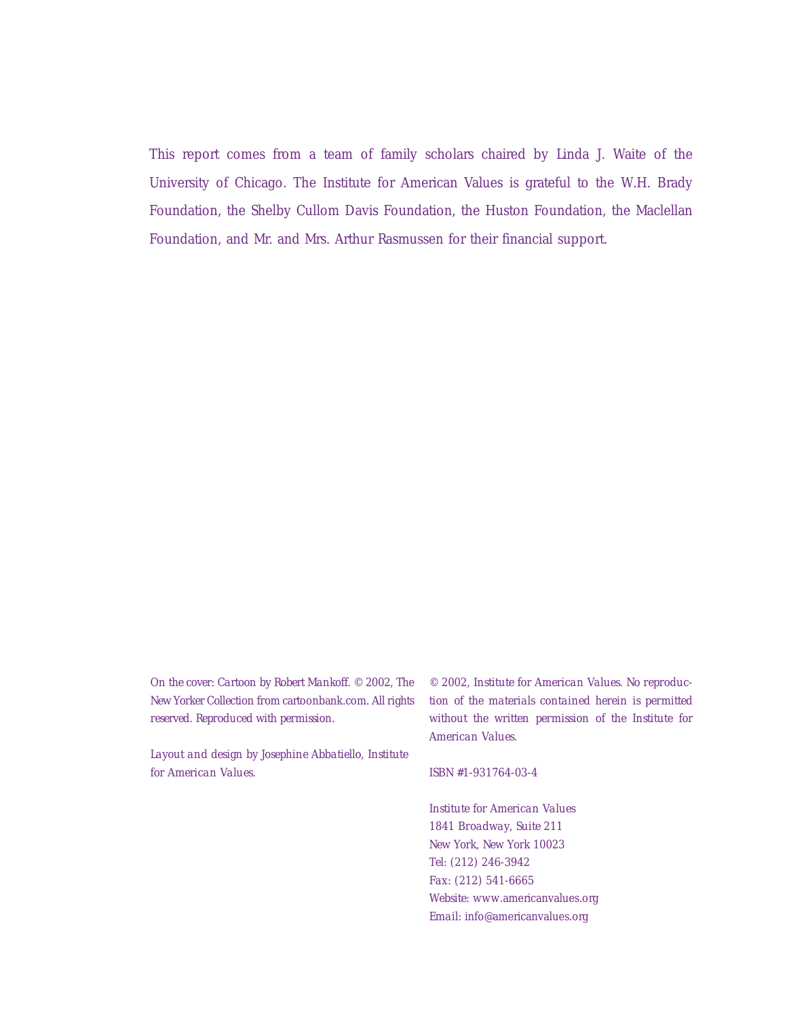This report comes from a team of family scholars chaired by Linda J. Waite of the University of Chicago. The Institute for American Values is grateful to the W.H. Brady Foundation, the Shelby Cullom Davis Foundation, the Huston Foundation, the Maclellan Foundation, and Mr. and Mrs. Arthur Rasmussen for their financial support.

*On the cover: Cartoon by Robert Mankoff. © 2002, The New Yorker Collection from* cartoonbank.com*. All rights reserved. Reproduced with permission.*

*Layout and design by Josephine Abbatiello, Institute for American Values.*

*© 2002, Institute for American Values. No reproduction of the materials contained herein is permitted without the written permission of the Institute for American Values.*

*ISBN #1-931764-03-4*

*Institute for American Values 1841 Broadway, Suite 211 New York, New York 10023 Tel: (212) 246-3942 Fax: (212) 541-6665 Website:* www.americanvalues.org *Email:* info@americanvalues.org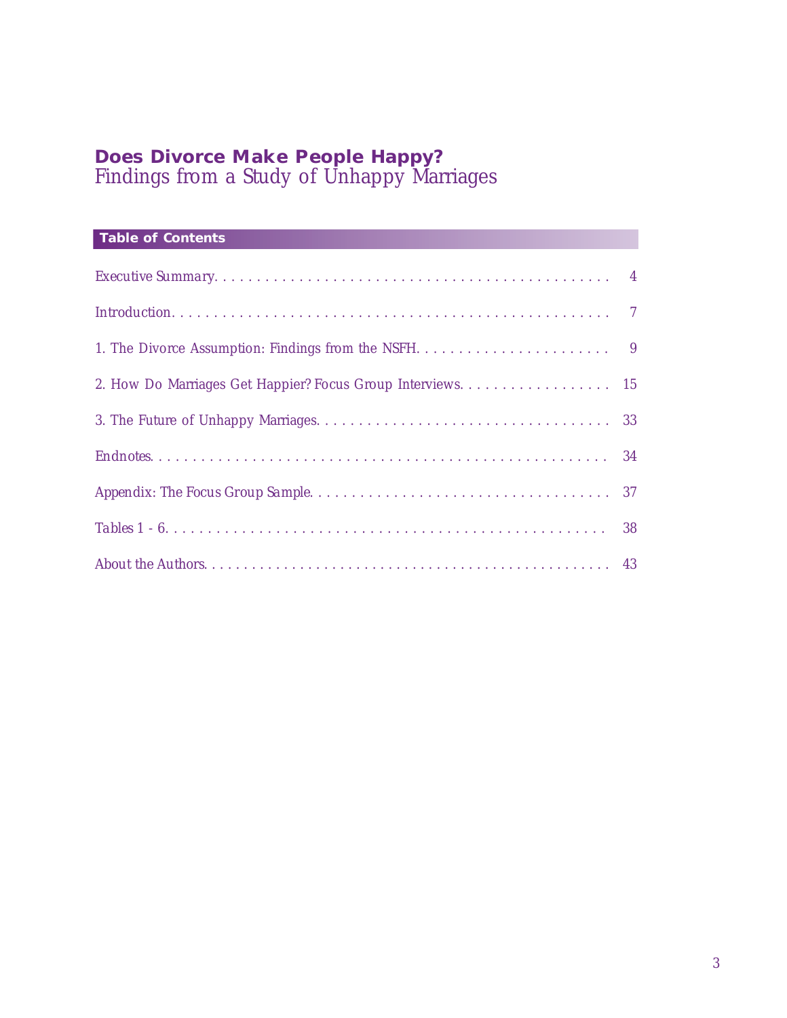# **Does Divorce Make People Happy?**

Findings from a Study of Unhappy Marriages

# **Table of Contents**

| 2. How Do Marriages Get Happier? Focus Group Interviews. 15 |  |
|-------------------------------------------------------------|--|
|                                                             |  |
|                                                             |  |
|                                                             |  |
|                                                             |  |
|                                                             |  |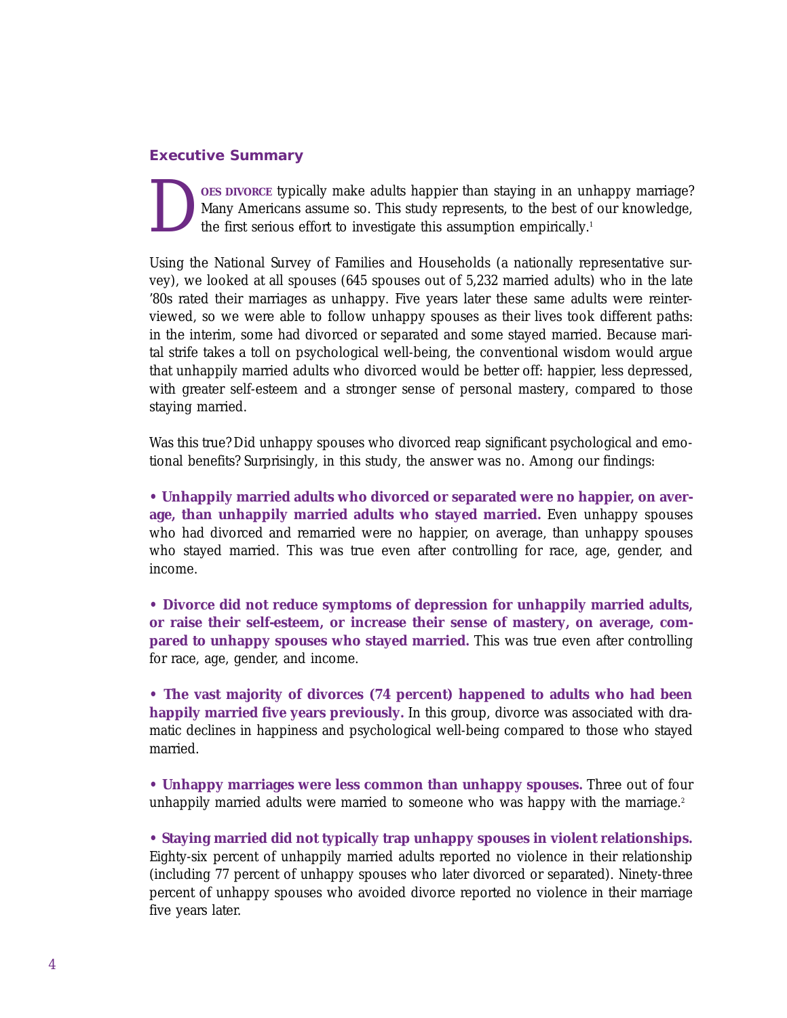#### **Executive Summary**

**DES DIVORCE** typically make adults happier than staying in an unhappy marriage?<br>Many Americans assume so. This study represents, to the best of our knowledge,<br>the first serious effort to investigate this assumption empiri Many Americans assume so. This study represents, to the best of our knowledge, the first serious effort to investigate this assumption empirically.<sup>1</sup>

Using the National Survey of Families and Households (a nationally representative survey), we looked at all spouses (645 spouses out of 5,232 married adults) who in the late '80s rated their marriages as unhappy. Five years later these same adults were reinterviewed, so we were able to follow unhappy spouses as their lives took different paths: in the interim, some had divorced or separated and some stayed married. Because marital strife takes a toll on psychological well-being, the conventional wisdom would argue that unhappily married adults who divorced would be better off: happier, less depressed, with greater self-esteem and a stronger sense of personal mastery, compared to those staying married.

Was this true? Did unhappy spouses who divorced reap significant psychological and emotional benefits? Surprisingly, in this study, the answer was no. Among our findings:

**• Unhappily married adults who divorced or separated were no happier, on average, than unhappily married adults who stayed married.** Even unhappy spouses who had divorced and remarried were no happier, on average, than unhappy spouses who stayed married. This was true even after controlling for race, age, gender, and income.

**• Divorce did not reduce symptoms of depression for unhappily married adults, or raise their self-esteem, or increase their sense of mastery, on average, compared to unhappy spouses who stayed married.** This was true even after controlling for race, age, gender, and income.

**• The vast majority of divorces (74 percent) happened to adults who had been happily married five years previously.** In this group, divorce was associated with dramatic declines in happiness and psychological well-being compared to those who stayed married.

**• Unhappy marriages were less common than unhappy spouses.** Three out of four unhappily married adults were married to someone who was happy with the marriage.<sup>2</sup>

**• Staying married did not typically trap unhappy spouses in violent relationships.** Eighty-six percent of unhappily married adults reported no violence in their relationship (including 77 percent of unhappy spouses who later divorced or separated). Ninety-three percent of unhappy spouses who avoided divorce reported no violence in their marriage five years later.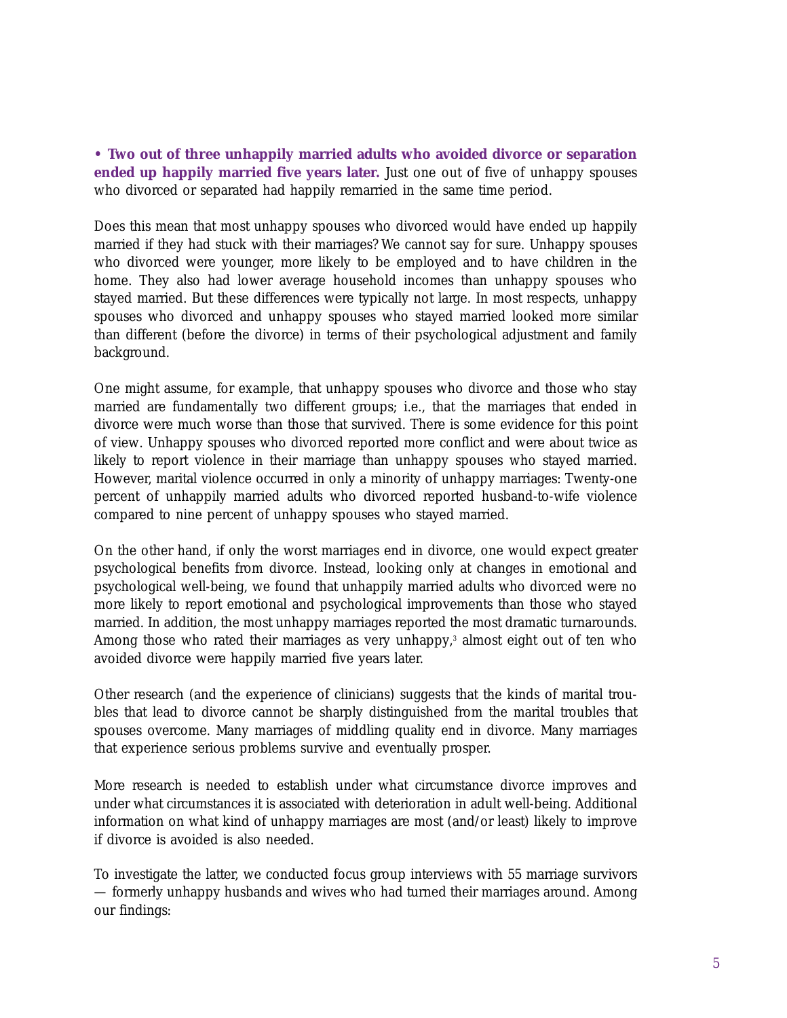**• Two out of three unhappily married adults who avoided divorce or separation ended up happily married five years later.** Just one out of five of unhappy spouses who divorced or separated had happily remarried in the same time period.

Does this mean that most unhappy spouses who divorced would have ended up happily married if they had stuck with their marriages? We cannot say for sure. Unhappy spouses who divorced were younger, more likely to be employed and to have children in the home. They also had lower average household incomes than unhappy spouses who stayed married. But these differences were typically not large. In most respects, unhappy spouses who divorced and unhappy spouses who stayed married looked more similar than different (before the divorce) in terms of their psychological adjustment and family background.

One might assume, for example, that unhappy spouses who divorce and those who stay married are fundamentally two different groups; i.e., that the marriages that ended in divorce were much worse than those that survived. There is some evidence for this point of view. Unhappy spouses who divorced reported more conflict and were about twice as likely to report violence in their marriage than unhappy spouses who stayed married. However, marital violence occurred in only a minority of unhappy marriages: Twenty-one percent of unhappily married adults who divorced reported husband-to-wife violence compared to nine percent of unhappy spouses who stayed married.

On the other hand, if only the worst marriages end in divorce, one would expect greater psychological benefits from divorce. Instead, looking only at changes in emotional and psychological well-being, we found that unhappily married adults who divorced were no more likely to report emotional and psychological improvements than those who stayed married. In addition, the most unhappy marriages reported the most dramatic turnarounds. Among those who rated their marriages as very unhappy, $3$  almost eight out of ten who avoided divorce were happily married five years later.

Other research (and the experience of clinicians) suggests that the kinds of marital troubles that lead to divorce cannot be sharply distinguished from the marital troubles that spouses overcome. Many marriages of middling quality end in divorce. Many marriages that experience serious problems survive and eventually prosper.

More research is needed to establish under what circumstance divorce improves and under what circumstances it is associated with deterioration in adult well-being. Additional information on what kind of unhappy marriages are most (and/or least) likely to improve if divorce is avoided is also needed.

To investigate the latter, we conducted focus group interviews with 55 marriage survivors — formerly unhappy husbands and wives who had turned their marriages around. Among our findings: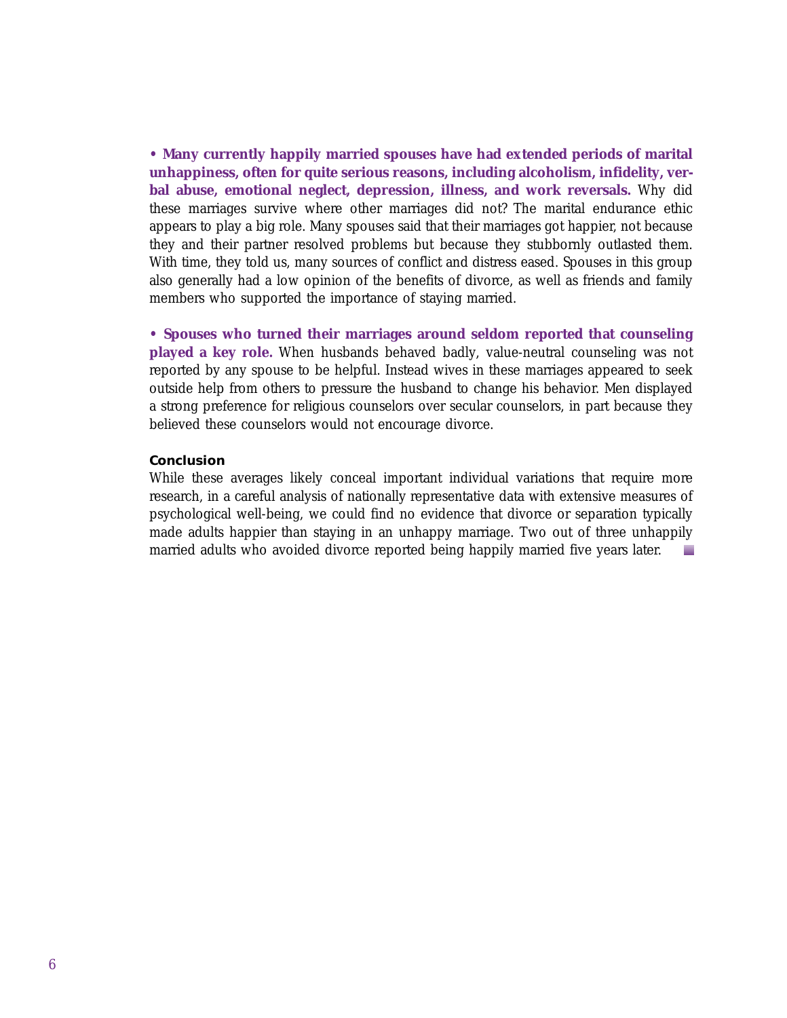**• Many currently happily married spouses have had extended periods of marital unhappiness, often for quite serious reasons, including alcoholism, infidelity, verbal abuse, emotional neglect, depression, illness, and work reversals.** Why did these marriages survive where other marriages did not? The marital endurance ethic appears to play a big role. Many spouses said that their marriages got happier, not because they and their partner resolved problems but because they stubbornly outlasted them. With time, they told us, many sources of conflict and distress eased. Spouses in this group also generally had a low opinion of the benefits of divorce, as well as friends and family members who supported the importance of staying married.

**• Spouses who turned their marriages around seldom reported that counseling played a key role.** When husbands behaved badly, value-neutral counseling was not reported by any spouse to be helpful. Instead wives in these marriages appeared to seek outside help from others to pressure the husband to change his behavior. Men displayed a strong preference for religious counselors over secular counselors, in part because they believed these counselors would not encourage divorce.

#### **Conclusion**

While these averages likely conceal important individual variations that require more research, in a careful analysis of nationally representative data with extensive measures of psychological well-being, we could find no evidence that divorce or separation typically made adults happier than staying in an unhappy marriage. Two out of three unhappily married adults who avoided divorce reported being happily married five years later.a.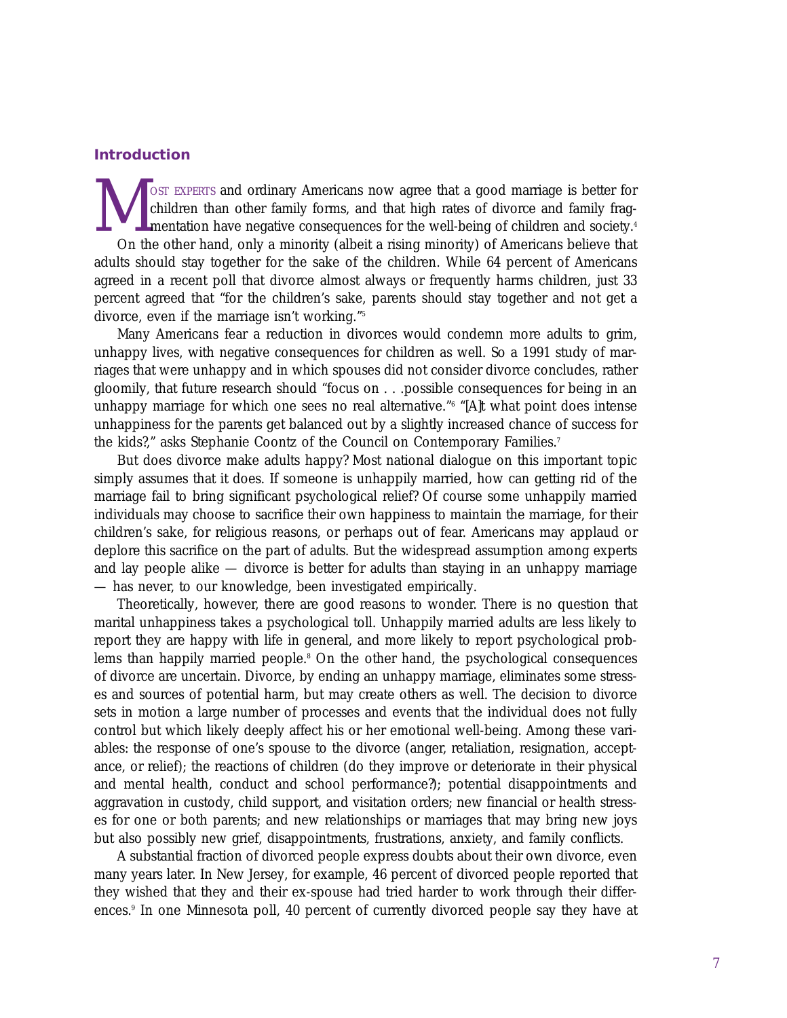# **Introduction**

OST EXPERTS and ordinary Americans now agree that a good marriage is better for children than other family forms, and that high rates of divorce and family fragmentation have negative consequences for the well-being of chi children than other family forms, and that high rates of divorce and family fragmentation have negative consequences for the well-being of children and society.4 On the other hand, only a minority (albeit a rising minority) of Americans believe that adults should stay together for the sake of the children. While 64 percent of Americans agreed in a recent poll that divorce almost always or frequently harms children, just 33 percent agreed that "for the children's sake, parents should stay together and not get a divorce, even if the marriage isn't working."5

Many Americans fear a reduction in divorces would condemn more adults to grim, unhappy lives, with negative consequences for children as well. So a 1991 study of marriages that were unhappy and in which spouses did not consider divorce concludes, rather gloomily, that future research should "focus on . . .possible consequences for being in an unhappy marriage for which one sees no real alternative."6 "[A]t what point does intense unhappiness for the parents get balanced out by a slightly increased chance of success for the kids?," asks Stephanie Coontz of the Council on Contemporary Families.7

But does divorce make adults happy? Most national dialogue on this important topic simply assumes that it does. If someone is unhappily married, how can getting rid of the marriage fail to bring significant psychological relief? Of course some unhappily married individuals may choose to sacrifice their own happiness to maintain the marriage, for their children's sake, for religious reasons, or perhaps out of fear. Americans may applaud or deplore this sacrifice on the part of adults. But the widespread assumption among experts and lay people alike — divorce is better for adults than staying in an unhappy marriage — has never, to our knowledge, been investigated empirically.

Theoretically, however, there are good reasons to wonder. There is no question that marital unhappiness takes a psychological toll. Unhappily married adults are less likely to report they are happy with life in general, and more likely to report psychological problems than happily married people.<sup>8</sup> On the other hand, the psychological consequences of divorce are uncertain. Divorce, by ending an unhappy marriage, eliminates some stresses and sources of potential harm, but may create others as well. The decision to divorce sets in motion a large number of processes and events that the individual does not fully control but which likely deeply affect his or her emotional well-being. Among these variables: the response of one's spouse to the divorce (anger, retaliation, resignation, acceptance, or relief); the reactions of children (do they improve or deteriorate in their physical and mental health, conduct and school performance?); potential disappointments and aggravation in custody, child support, and visitation orders; new financial or health stresses for one or both parents; and new relationships or marriages that may bring new joys but also possibly new grief, disappointments, frustrations, anxiety, and family conflicts.

A substantial fraction of divorced people express doubts about their own divorce, even many years later. In New Jersey, for example, 46 percent of divorced people reported that they wished that they and their ex-spouse had tried harder to work through their differences.<sup>9</sup> In one Minnesota poll, 40 percent of currently divorced people say they have at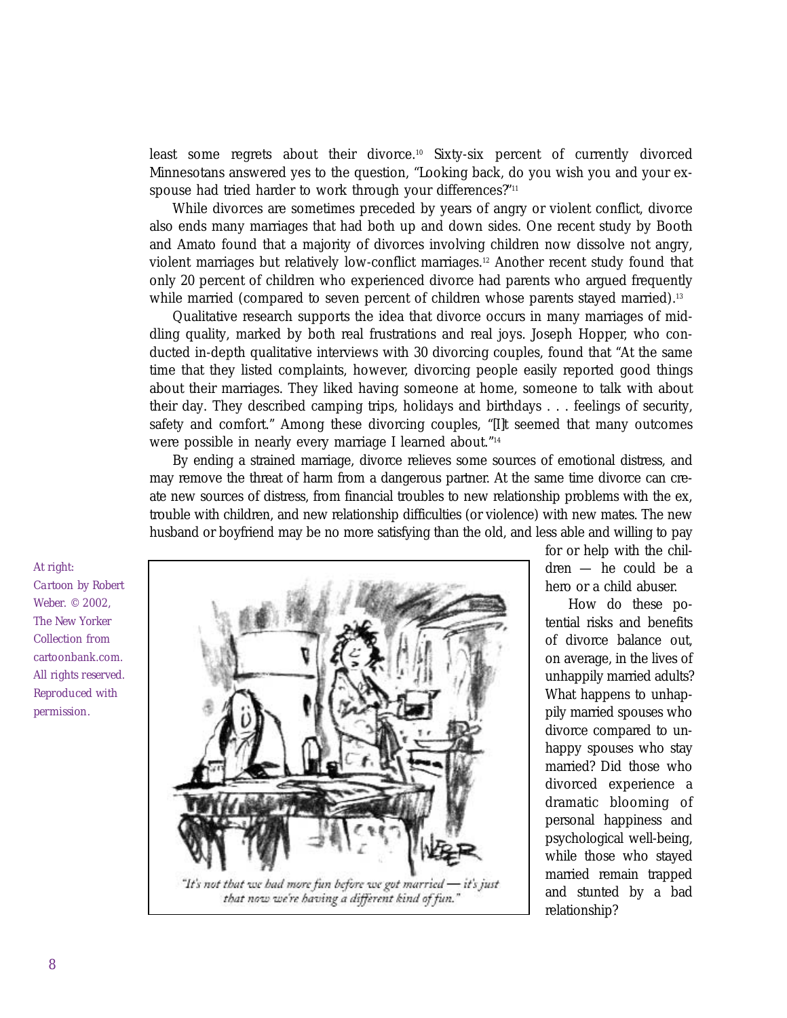least some regrets about their divorce.10 Sixty-six percent of currently divorced Minnesotans answered yes to the question, "Looking back, do you wish you and your exspouse had tried harder to work through your differences?"<sup>11</sup>

While divorces are sometimes preceded by years of angry or violent conflict, divorce also ends many marriages that had both up and down sides. One recent study by Booth and Amato found that a majority of divorces involving children now dissolve not angry, violent marriages but relatively low-conflict marriages.12 Another recent study found that only 20 percent of children who experienced divorce had parents who argued frequently while married (compared to seven percent of children whose parents stayed married).<sup>13</sup>

Qualitative research supports the idea that divorce occurs in many marriages of middling quality, marked by both real frustrations and real joys. Joseph Hopper, who conducted in-depth qualitative interviews with 30 divorcing couples, found that "At the same time that they listed complaints, however, divorcing people easily reported good things about their marriages. They liked having someone at home, someone to talk with about their day. They described camping trips, holidays and birthdays . . . feelings of security, safety and comfort." Among these divorcing couples, "[I]t seemed that many outcomes were possible in nearly every marriage I learned about."14

By ending a strained marriage, divorce relieves some sources of emotional distress, and may remove the threat of harm from a dangerous partner. At the same time divorce can create new sources of distress, from financial troubles to new relationship problems with the ex, trouble with children, and new relationship difficulties (or violence) with new mates. The new husband or boyfriend may be no more satisfying than the old, and less able and willing to pay

for or help with the children — he could be a hero or a child abuser.

How do these potential risks and benefits of divorce balance out, on average, in the lives of unhappily married adults? What happens to unhappily married spouses who divorce compared to unhappy spouses who stay married? Did those who divorced experience a dramatic blooming of personal happiness and psychological well-being, while those who stayed married remain trapped and stunted by a bad relationship?

*At right: Cartoon by Robert Weber. © 2002, The New Yorker Collection from*  cartoonbank.com. *All rights reserved. Reproduced with permission.*



"It's not that we had more fun before we got married -– it's just that now we're having a different kind of fun."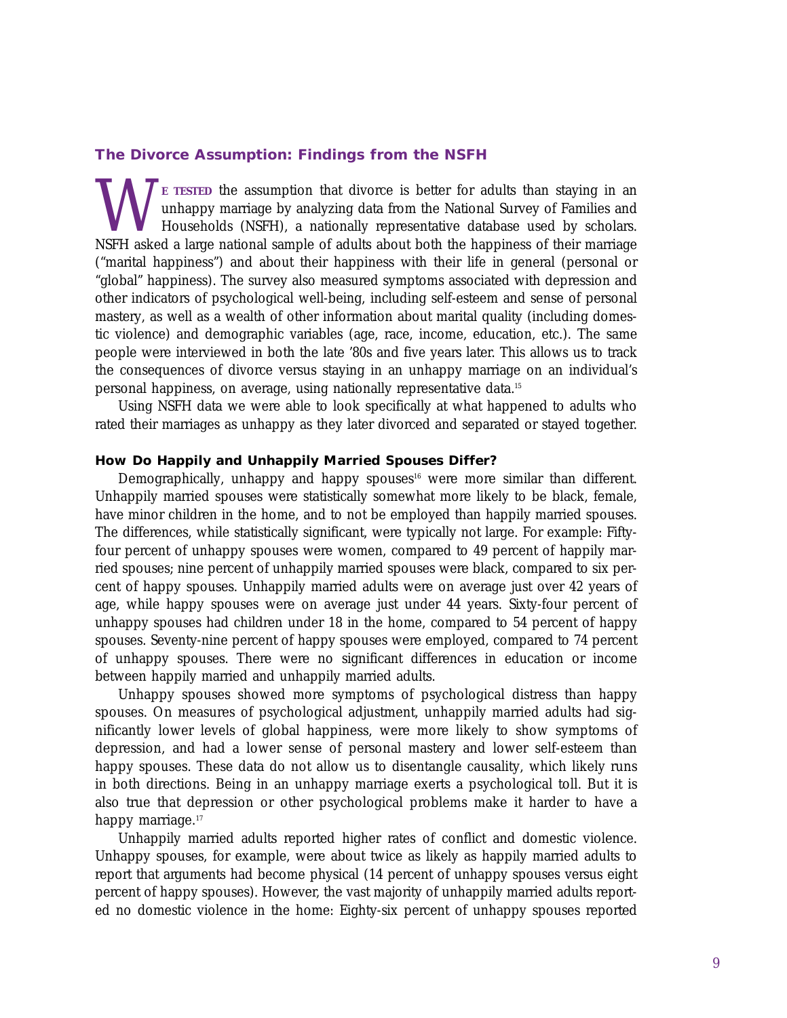#### **The Divorce Assumption: Findings from the NSFH**

**E** TESTED the assumption that divorce is better for adults than staying in an unhappy marriage by analyzing data from the National Survey of Families and Households (NSFH), a nationally representative database used by scholars. NSFH asked a large national sample of adults about both the happiness of their marriage ("marital happiness") and about their happiness with their life in general (personal or "global" happiness). The survey also measured symptoms associated with depression and other indicators of psychological well-being, including self-esteem and sense of personal mastery, as well as a wealth of other information about marital quality (including domestic violence) and demographic variables (age, race, income, education, etc.). The same people were interviewed in both the late '80s and five years later. This allows us to track the consequences of divorce versus staying in an unhappy marriage on an individual's personal happiness, on average, using nationally representative data.15

Using NSFH data we were able to look specifically at what happened to adults who rated their marriages as unhappy as they later divorced and separated or stayed together.

#### **How Do Happily and Unhappily Married Spouses Differ?**

Demographically, unhappy and happy spouses<sup>16</sup> were more similar than different. Unhappily married spouses were statistically somewhat more likely to be black, female, have minor children in the home, and to not be employed than happily married spouses. The differences, while statistically significant, were typically not large. For example: Fiftyfour percent of unhappy spouses were women, compared to 49 percent of happily married spouses; nine percent of unhappily married spouses were black, compared to six percent of happy spouses. Unhappily married adults were on average just over 42 years of age, while happy spouses were on average just under 44 years. Sixty-four percent of unhappy spouses had children under 18 in the home, compared to 54 percent of happy spouses. Seventy-nine percent of happy spouses were employed, compared to 74 percent of unhappy spouses. There were no significant differences in education or income between happily married and unhappily married adults.

Unhappy spouses showed more symptoms of psychological distress than happy spouses. On measures of psychological adjustment, unhappily married adults had significantly lower levels of global happiness, were more likely to show symptoms of depression, and had a lower sense of personal mastery and lower self-esteem than happy spouses. These data do not allow us to disentangle causality, which likely runs in both directions. Being in an unhappy marriage exerts a psychological toll. But it is also true that depression or other psychological problems make it harder to have a happy marriage.<sup>17</sup>

Unhappily married adults reported higher rates of conflict and domestic violence. Unhappy spouses, for example, were about twice as likely as happily married adults to report that arguments had become physical (14 percent of unhappy spouses versus eight percent of happy spouses). However, the vast majority of unhappily married adults reported no domestic violence in the home: Eighty-six percent of unhappy spouses reported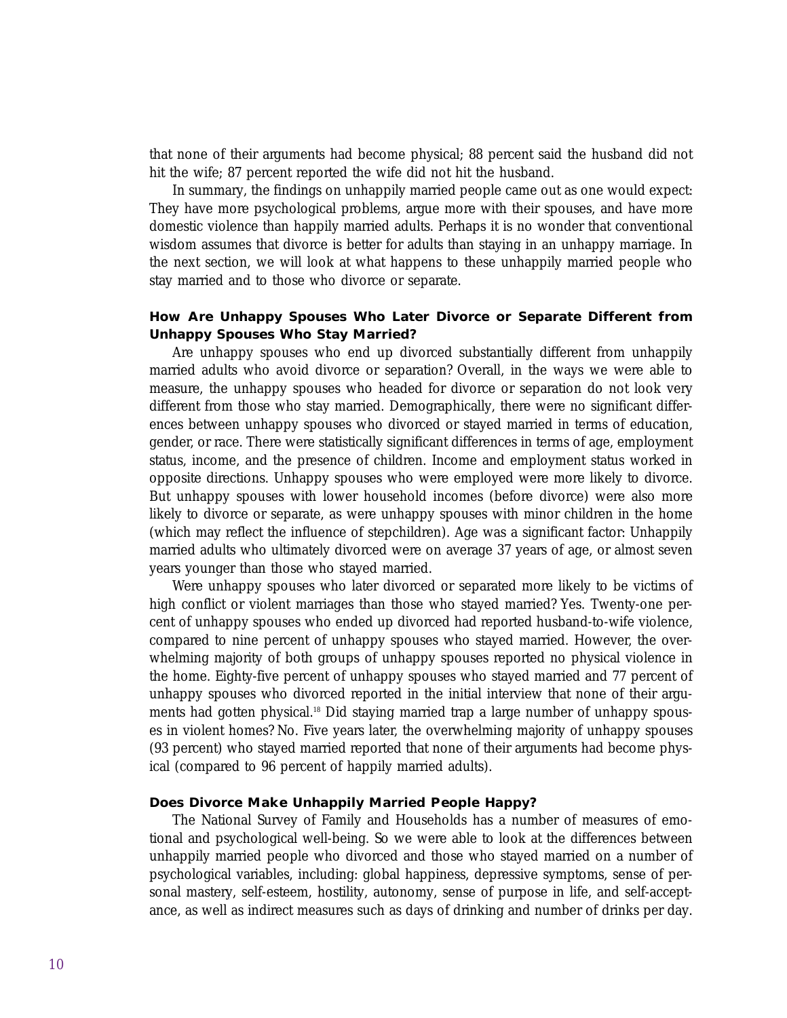that none of their arguments had become physical; 88 percent said the husband did not hit the wife; 87 percent reported the wife did not hit the husband.

In summary, the findings on unhappily married people came out as one would expect: They have more psychological problems, argue more with their spouses, and have more domestic violence than happily married adults. Perhaps it is no wonder that conventional wisdom assumes that divorce is better for adults than staying in an unhappy marriage. In the next section, we will look at what happens to these unhappily married people who stay married and to those who divorce or separate.

# **How Are Unhappy Spouses Who Later Divorce or Separate Different from Unhappy Spouses Who Stay Married?**

Are unhappy spouses who end up divorced substantially different from unhappily married adults who avoid divorce or separation? Overall, in the ways we were able to measure, the unhappy spouses who headed for divorce or separation do not look very different from those who stay married. Demographically, there were no significant differences between unhappy spouses who divorced or stayed married in terms of education, gender, or race. There were statistically significant differences in terms of age, employment status, income, and the presence of children. Income and employment status worked in opposite directions. Unhappy spouses who were employed were more likely to divorce. But unhappy spouses with lower household incomes (before divorce) were also more likely to divorce or separate, as were unhappy spouses with minor children in the home (which may reflect the influence of stepchildren). Age was a significant factor: Unhappily married adults who ultimately divorced were on average 37 years of age, or almost seven years younger than those who stayed married.

Were unhappy spouses who later divorced or separated more likely to be victims of high conflict or violent marriages than those who stayed married? Yes. Twenty-one percent of unhappy spouses who ended up divorced had reported husband-to-wife violence, compared to nine percent of unhappy spouses who stayed married. However, the overwhelming majority of both groups of unhappy spouses reported no physical violence in the home. Eighty-five percent of unhappy spouses who stayed married and 77 percent of unhappy spouses who divorced reported in the initial interview that none of their arguments had gotten physical.<sup>18</sup> Did staying married trap a large number of unhappy spouses in violent homes? No. Five years later, the overwhelming majority of unhappy spouses (93 percent) who stayed married reported that none of their arguments had become physical (compared to 96 percent of happily married adults).

# **Does Divorce Make Unhappily Married People Happy?**

The National Survey of Family and Households has a number of measures of emotional and psychological well-being. So we were able to look at the differences between unhappily married people who divorced and those who stayed married on a number of psychological variables, including: global happiness, depressive symptoms, sense of personal mastery, self-esteem, hostility, autonomy, sense of purpose in life, and self-acceptance, as well as indirect measures such as days of drinking and number of drinks per day.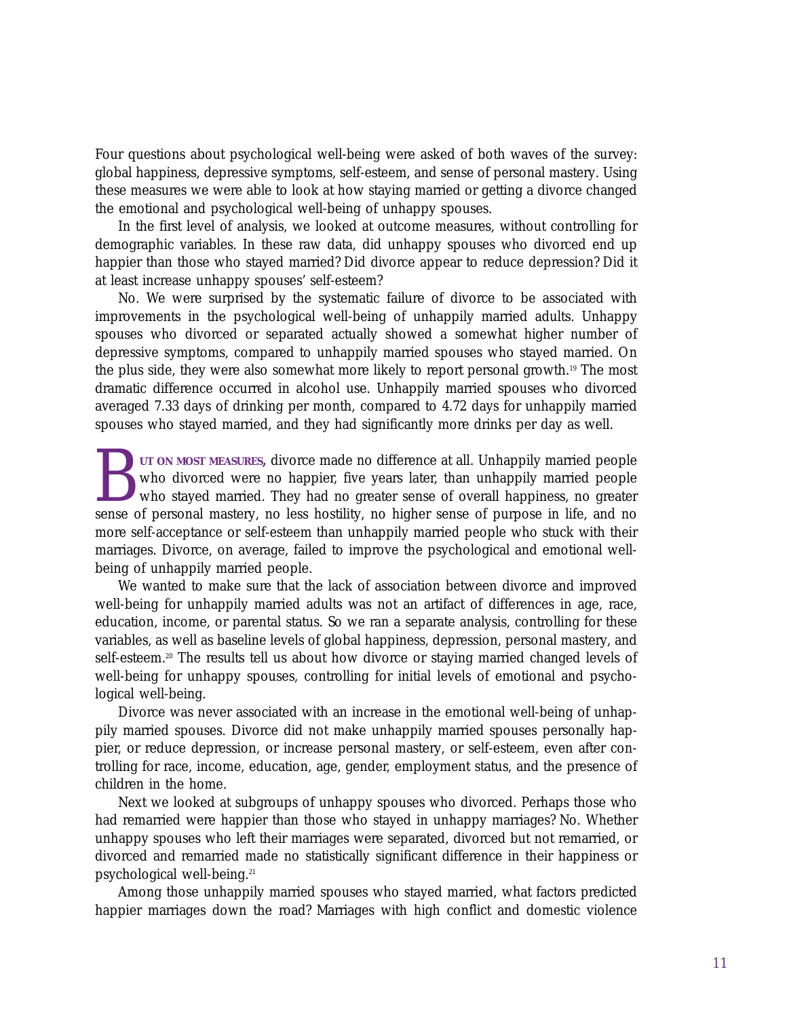Four questions about psychological well-being were asked of both waves of the survey: global happiness, depressive symptoms, self-esteem, and sense of personal mastery. Using these measures we were able to look at how staying married or getting a divorce changed the emotional and psychological well-being of unhappy spouses.

In the first level of analysis, we looked at outcome measures, without controlling for demographic variables. In these raw data, did unhappy spouses who divorced end up happier than those who stayed married? Did divorce appear to reduce depression? Did it at least increase unhappy spouses' self-esteem?

No. We were surprised by the systematic failure of divorce to be associated with improvements in the psychological well-being of unhappily married adults. Unhappy spouses who divorced or separated actually showed a somewhat higher number of depressive symptoms, compared to unhappily married spouses who stayed married. On the plus side, they were also somewhat more likely to report personal growth.<sup>19</sup> The most dramatic difference occurred in alcohol use. Unhappily married spouses who divorced averaged 7.33 days of drinking per month, compared to 4.72 days for unhappily married spouses who stayed married, and they had significantly more drinks per day as well.

**EXECUTE ON MOST MEASURES,** divorce made no difference at all. Unhappily married people who divorced were no happier, five years later, than unhappily married people who stayed married. They had no greater sense of overall who divorced were no happier, five years later, than unhappily married people who stayed married. They had no greater sense of overall happiness, no greater sense of personal mastery, no less hostility, no higher sense of purpose in life, and no more self-acceptance or self-esteem than unhappily married people who stuck with their marriages. Divorce, on average, failed to improve the psychological and emotional wellbeing of unhappily married people.

We wanted to make sure that the lack of association between divorce and improved well-being for unhappily married adults was not an artifact of differences in age, race, education, income, or parental status. So we ran a separate analysis, controlling for these variables, as well as baseline levels of global happiness, depression, personal mastery, and self-esteem.<sup>20</sup> The results tell us about how divorce or staying married changed levels of well-being for unhappy spouses, controlling for initial levels of emotional and psychological well-being.

Divorce was never associated with an increase in the emotional well-being of unhappily married spouses. Divorce did not make unhappily married spouses personally happier, or reduce depression, or increase personal mastery, or self-esteem, even after controlling for race, income, education, age, gender, employment status, and the presence of children in the home.

Next we looked at subgroups of unhappy spouses who divorced. Perhaps those who had remarried were happier than those who stayed in unhappy marriages? No. Whether unhappy spouses who left their marriages were separated, divorced but not remarried, or divorced and remarried made no statistically significant difference in their happiness or psychological well-being.21

Among those unhappily married spouses who stayed married, what factors predicted happier marriages down the road? Marriages with high conflict and domestic violence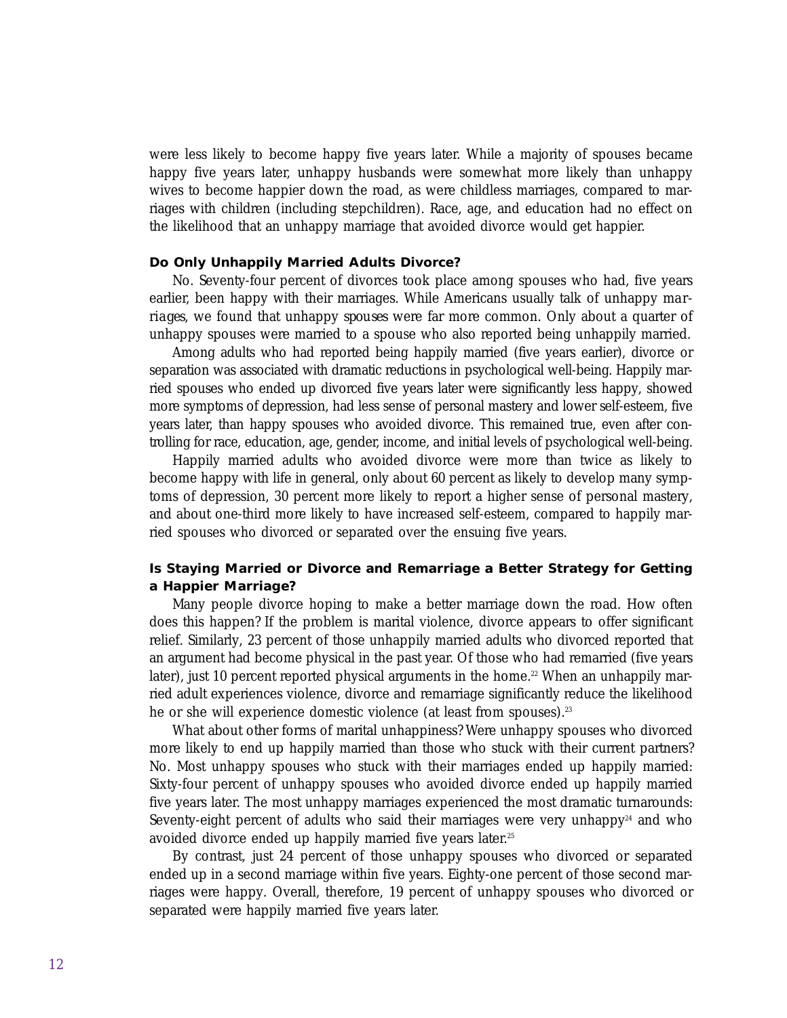were less likely to become happy five years later. While a majority of spouses became happy five years later, unhappy husbands were somewhat more likely than unhappy wives to become happier down the road, as were childless marriages, compared to marriages with children (including stepchildren). Race, age, and education had no effect on the likelihood that an unhappy marriage that avoided divorce would get happier.

#### **Do Only Unhappily Married Adults Divorce?**

No. Seventy-four percent of divorces took place among spouses who had, five years earlier, been happy with their marriages. While Americans usually talk of unhappy *marriages*, we found that unhappy *spouses* were far more common. Only about a quarter of unhappy spouses were married to a spouse who also reported being unhappily married.

Among adults who had reported being happily married (five years earlier), divorce or separation was associated with dramatic reductions in psychological well-being. Happily married spouses who ended up divorced five years later were significantly less happy, showed more symptoms of depression, had less sense of personal mastery and lower self-esteem, five years later, than happy spouses who avoided divorce. This remained true, even after controlling for race, education, age, gender, income, and initial levels of psychological well-being.

Happily married adults who avoided divorce were more than twice as likely to become happy with life in general, only about 60 percent as likely to develop many symptoms of depression, 30 percent more likely to report a higher sense of personal mastery, and about one-third more likely to have increased self-esteem, compared to happily married spouses who divorced or separated over the ensuing five years.

# **Is Staying Married or Divorce and Remarriage a Better Strategy for Getting a Happier Marriage?**

Many people divorce hoping to make a better marriage down the road. How often does this happen? If the problem is marital violence, divorce appears to offer significant relief. Similarly, 23 percent of those unhappily married adults who divorced reported that an argument had become physical in the past year. Of those who had remarried (five years later), just 10 percent reported physical arguments in the home.<sup>22</sup> When an unhappily married adult experiences violence, divorce and remarriage significantly reduce the likelihood he or she will experience domestic violence (at least from spouses).<sup>23</sup>

What about other forms of marital unhappiness? Were unhappy spouses who divorced more likely to end up happily married than those who stuck with their current partners? No. Most unhappy spouses who stuck with their marriages ended up happily married: Sixty-four percent of unhappy spouses who avoided divorce ended up happily married five years later. The most unhappy marriages experienced the most dramatic turnarounds: Seventy-eight percent of adults who said their marriages were very unhappy<sup>24</sup> and who avoided divorce ended up happily married five years later.<sup>25</sup>

By contrast, just 24 percent of those unhappy spouses who divorced or separated ended up in a second marriage within five years. Eighty-one percent of those second marriages were happy. Overall, therefore, 19 percent of unhappy spouses who divorced or separated were happily married five years later.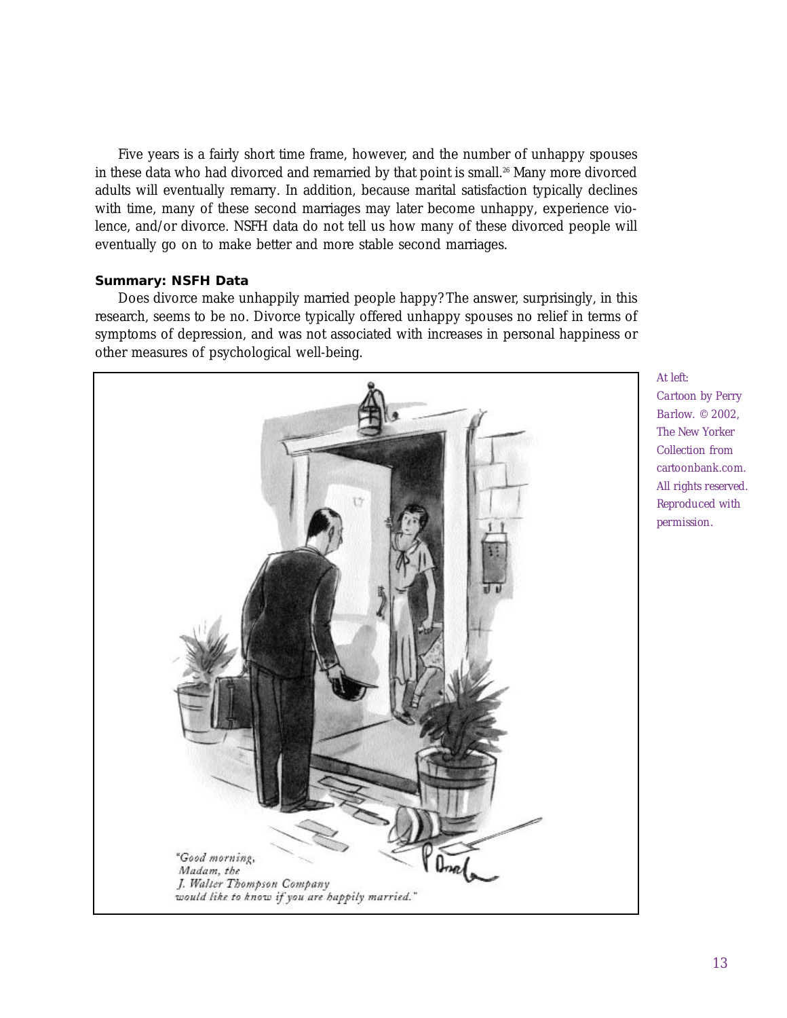Five years is a fairly short time frame, however, and the number of unhappy spouses in these data who had divorced and remarried by that point is small.<sup>26</sup> Many more divorced adults will eventually remarry. In addition, because marital satisfaction typically declines with time, many of these second marriages may later become unhappy, experience violence, and/or divorce. NSFH data do not tell us how many of these divorced people will eventually go on to make better and more stable second marriages.

#### **Summary: NSFH Data**

Does divorce make unhappily married people happy? The answer, surprisingly, in this research, seems to be no. Divorce typically offered unhappy spouses no relief in terms of symptoms of depression, and was not associated with increases in personal happiness or other measures of psychological well-being.



#### *At left:*

*Cartoon by Perry Barlow. © 2002, The New Yorker Collection from* cartoonbank.com. *All rights reserved. Reproduced with permission.*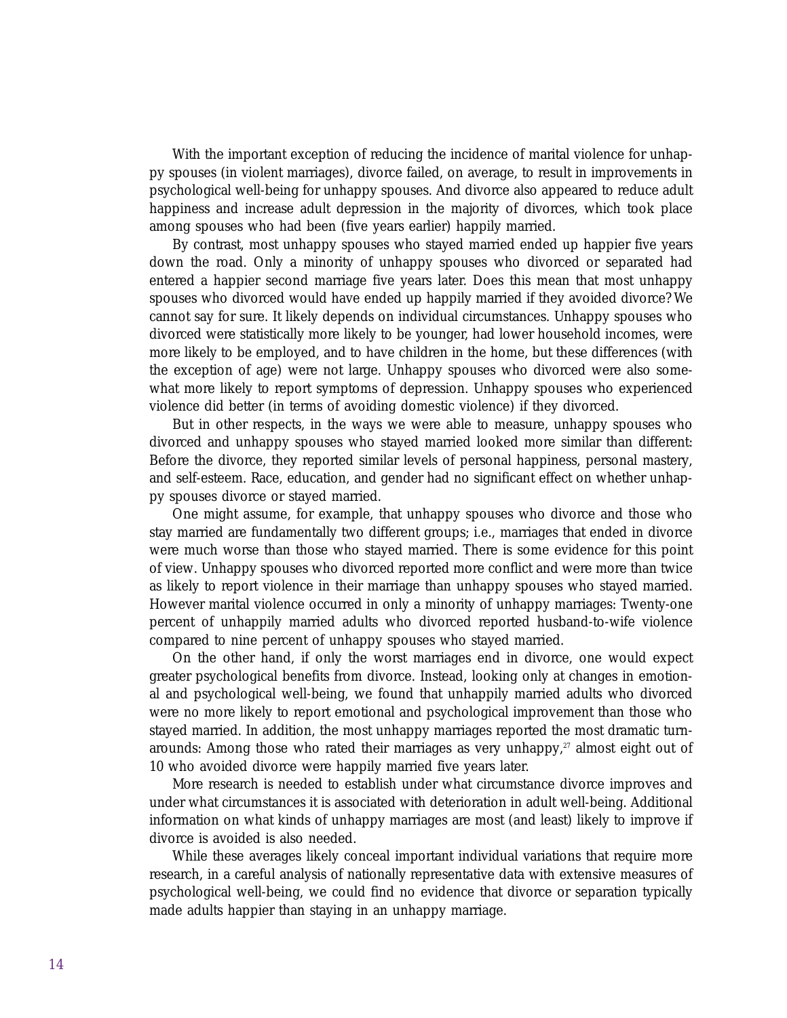With the important exception of reducing the incidence of marital violence for unhappy spouses (in violent marriages), divorce failed, on average, to result in improvements in psychological well-being for unhappy spouses. And divorce also appeared to reduce adult happiness and increase adult depression in the majority of divorces, which took place among spouses who had been (five years earlier) happily married.

By contrast, most unhappy spouses who stayed married ended up happier five years down the road. Only a minority of unhappy spouses who divorced or separated had entered a happier second marriage five years later. Does this mean that most unhappy spouses who divorced would have ended up happily married if they avoided divorce? We cannot say for sure. It likely depends on individual circumstances. Unhappy spouses who divorced were statistically more likely to be younger, had lower household incomes, were more likely to be employed, and to have children in the home, but these differences (with the exception of age) were not large. Unhappy spouses who divorced were also somewhat more likely to report symptoms of depression. Unhappy spouses who experienced violence did better (in terms of avoiding domestic violence) if they divorced.

But in other respects, in the ways we were able to measure, unhappy spouses who divorced and unhappy spouses who stayed married looked more similar than different: Before the divorce, they reported similar levels of personal happiness, personal mastery, and self-esteem. Race, education, and gender had no significant effect on whether unhappy spouses divorce or stayed married.

One might assume, for example, that unhappy spouses who divorce and those who stay married are fundamentally two different groups; i.e., marriages that ended in divorce were much worse than those who stayed married. There is some evidence for this point of view. Unhappy spouses who divorced reported more conflict and were more than twice as likely to report violence in their marriage than unhappy spouses who stayed married. However marital violence occurred in only a minority of unhappy marriages: Twenty-one percent of unhappily married adults who divorced reported husband-to-wife violence compared to nine percent of unhappy spouses who stayed married.

On the other hand, if only the worst marriages end in divorce, one would expect greater psychological benefits from divorce. Instead, looking only at changes in emotional and psychological well-being, we found that unhappily married adults who divorced were no more likely to report emotional and psychological improvement than those who stayed married. In addition, the most unhappy marriages reported the most dramatic turnarounds: Among those who rated their marriages as very unhappy, $27$  almost eight out of 10 who avoided divorce were happily married five years later.

More research is needed to establish under what circumstance divorce improves and under what circumstances it is associated with deterioration in adult well-being. Additional information on what kinds of unhappy marriages are most (and least) likely to improve if divorce is avoided is also needed.

While these averages likely conceal important individual variations that require more research, in a careful analysis of nationally representative data with extensive measures of psychological well-being, we could find no evidence that divorce or separation typically made adults happier than staying in an unhappy marriage.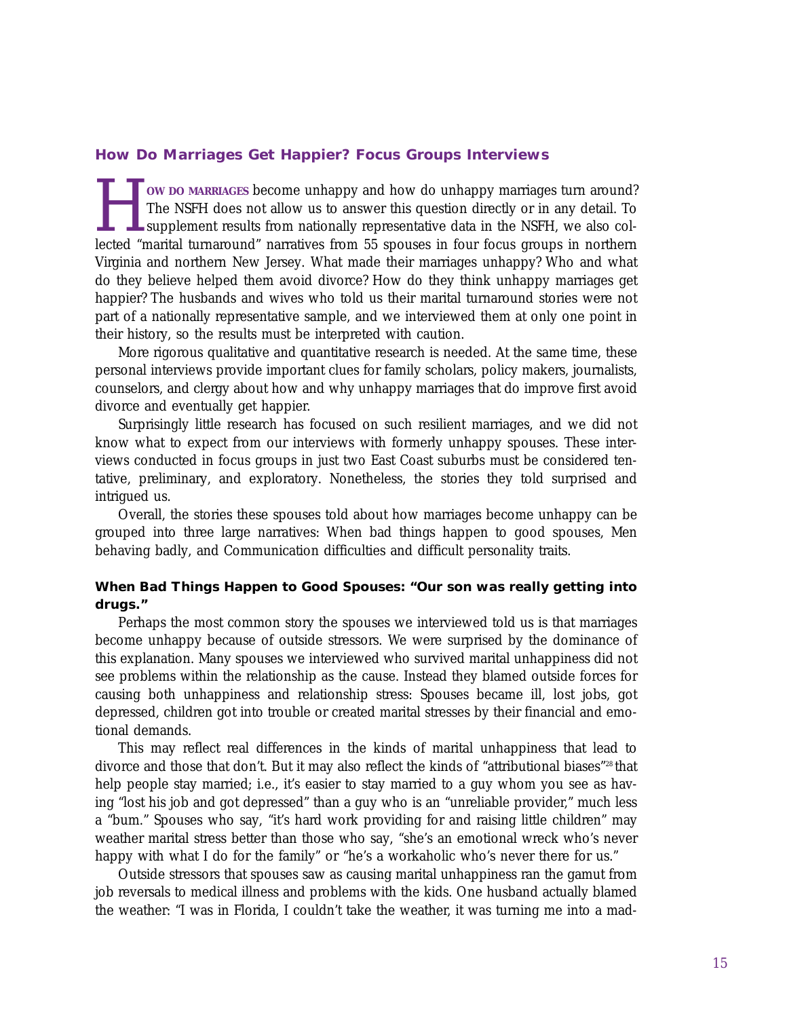#### **How Do Marriages Get Happier? Focus Groups Interviews**

**EXECUTE COW DO MARRIAGES** become unhappy and how do unhappy marriages turn around?<br>The NSFH does not allow us to answer this question directly or in any detail. To supplement results from nationally representative data in The NSFH does not allow us to answer this question directly or in any detail. To supplement results from nationally representative data in the NSFH, we also collected "marital turnaround" narratives from 55 spouses in four focus groups in northern Virginia and northern New Jersey. What made their marriages unhappy? Who and what do they believe helped them avoid divorce? How do they think unhappy marriages get happier? The husbands and wives who told us their marital turnaround stories were not part of a nationally representative sample, and we interviewed them at only one point in their history, so the results must be interpreted with caution.

More rigorous qualitative and quantitative research is needed. At the same time, these personal interviews provide important clues for family scholars, policy makers, journalists, counselors, and clergy about how and why unhappy marriages that do improve first avoid divorce and eventually get happier.

Surprisingly little research has focused on such resilient marriages, and we did not know what to expect from our interviews with formerly unhappy spouses. These interviews conducted in focus groups in just two East Coast suburbs must be considered tentative, preliminary, and exploratory. Nonetheless, the stories they told surprised and intrigued us.

Overall, the stories these spouses told about how marriages become unhappy can be grouped into three large narratives: When bad things happen to good spouses, Men behaving badly, and Communication difficulties and difficult personality traits.

# **When Bad Things Happen to Good Spouses: "Our son was really getting into drugs."**

Perhaps the most common story the spouses we interviewed told us is that marriages become unhappy because of outside stressors. We were surprised by the dominance of this explanation. Many spouses we interviewed who survived marital unhappiness did not see problems within the relationship as the cause. Instead they blamed outside forces for causing both unhappiness and relationship stress: Spouses became ill, lost jobs, got depressed, children got into trouble or created marital stresses by their financial and emotional demands.

This may reflect real differences in the kinds of marital unhappiness that lead to divorce and those that don't. But it may also reflect the kinds of "attributional biases"<sup>28</sup> that help people stay married; i.e., it's easier to stay married to a guy whom you see as having "lost his job and got depressed" than a guy who is an "unreliable provider," much less a "bum." Spouses who say, "it's hard work providing for and raising little children" may weather marital stress better than those who say, "she's an emotional wreck who's never happy with what I do for the family" or "he's a workaholic who's never there for us."

Outside stressors that spouses saw as causing marital unhappiness ran the gamut from job reversals to medical illness and problems with the kids. One husband actually blamed the weather: "I was in Florida, I couldn't take the weather, it was turning me into a mad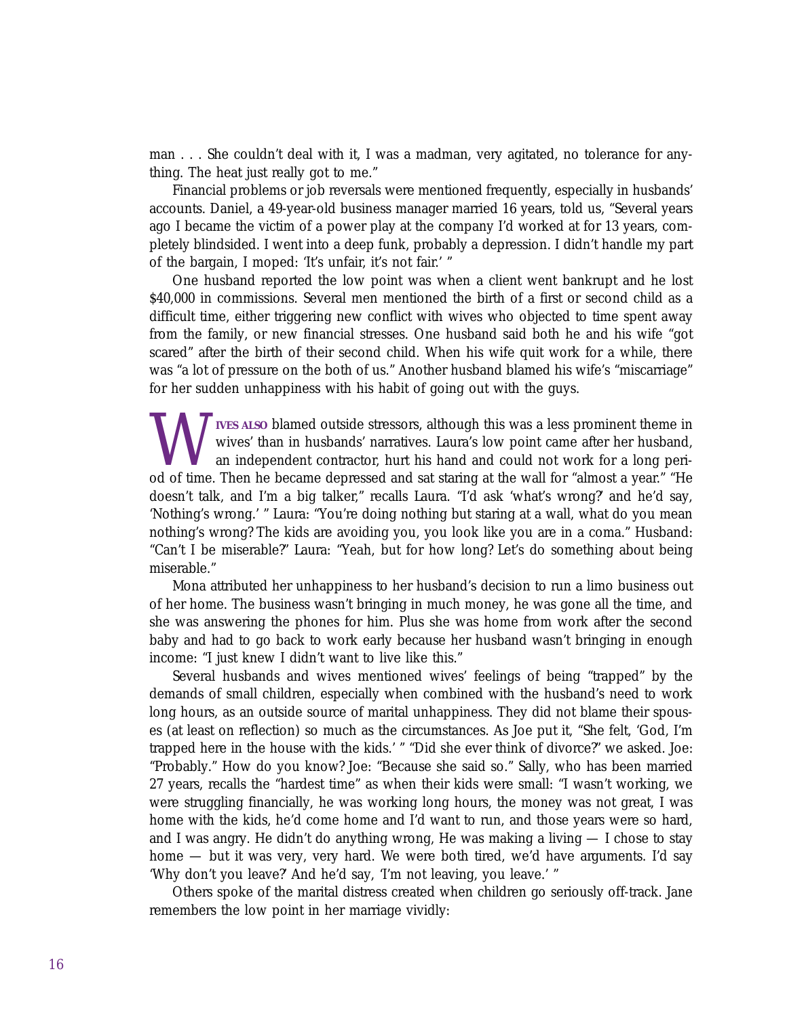man . . . She couldn't deal with it, I was a madman, very agitated, no tolerance for anything. The heat just really got to me."

Financial problems or job reversals were mentioned frequently, especially in husbands' accounts. Daniel, a 49-year-old business manager married 16 years, told us, "Several years ago I became the victim of a power play at the company I'd worked at for 13 years, completely blindsided. I went into a deep funk, probably a depression. I didn't handle my part of the bargain, I moped: 'It's unfair, it's not fair.' "

One husband reported the low point was when a client went bankrupt and he lost \$40,000 in commissions. Several men mentioned the birth of a first or second child as a difficult time, either triggering new conflict with wives who objected to time spent away from the family, or new financial stresses. One husband said both he and his wife "got scared" after the birth of their second child. When his wife quit work for a while, there was "a lot of pressure on the both of us." Another husband blamed his wife's "miscarriage" for her sudden unhappiness with his habit of going out with the guys.

**WES ALSO** blamed outside stressors, although this was a less prominent theme in wives' than in husbands' narratives. Laura's low point came after her husband, an independent contractor, hurt his hand and could not work fo wives' than in husbands' narratives. Laura's low point came after her husband, an independent contractor, hurt his hand and could not work for a long period of time. Then he became depressed and sat staring at the wall for "almost a year." "He doesn't talk, and I'm a big talker," recalls Laura. "I'd ask 'what's wrong?' and he'd say, 'Nothing's wrong.' " Laura: "You're doing nothing but staring at a wall, what do you mean nothing's wrong? The kids are avoiding you, you look like you are in a coma." Husband: "Can't I be miserable?" Laura: "Yeah, but for how long? Let's do something about being miserable."

Mona attributed her unhappiness to her husband's decision to run a limo business out of her home. The business wasn't bringing in much money, he was gone all the time, and she was answering the phones for him. Plus she was home from work after the second baby and had to go back to work early because her husband wasn't bringing in enough income: "I just knew I didn't want to live like this."

Several husbands and wives mentioned wives' feelings of being "trapped" by the demands of small children, especially when combined with the husband's need to work long hours, as an outside source of marital unhappiness. They did not blame their spouses (at least on reflection) so much as the circumstances. As Joe put it, "She felt, 'God, I'm trapped here in the house with the kids.' " "Did she ever think of divorce?" we asked. Joe: "Probably." How do you know? Joe: "Because she said so." Sally, who has been married 27 years, recalls the "hardest time" as when their kids were small: "I wasn't working, we were struggling financially, he was working long hours, the money was not great, I was home with the kids, he'd come home and I'd want to run, and those years were so hard, and I was angry. He didn't do anything wrong, He was making a living  $-$  I chose to stay home — but it was very, very hard. We were both tired, we'd have arguments. I'd say 'Why don't you leave?' And he'd say, 'I'm not leaving, you leave.' "

Others spoke of the marital distress created when children go seriously off-track. Jane remembers the low point in her marriage vividly: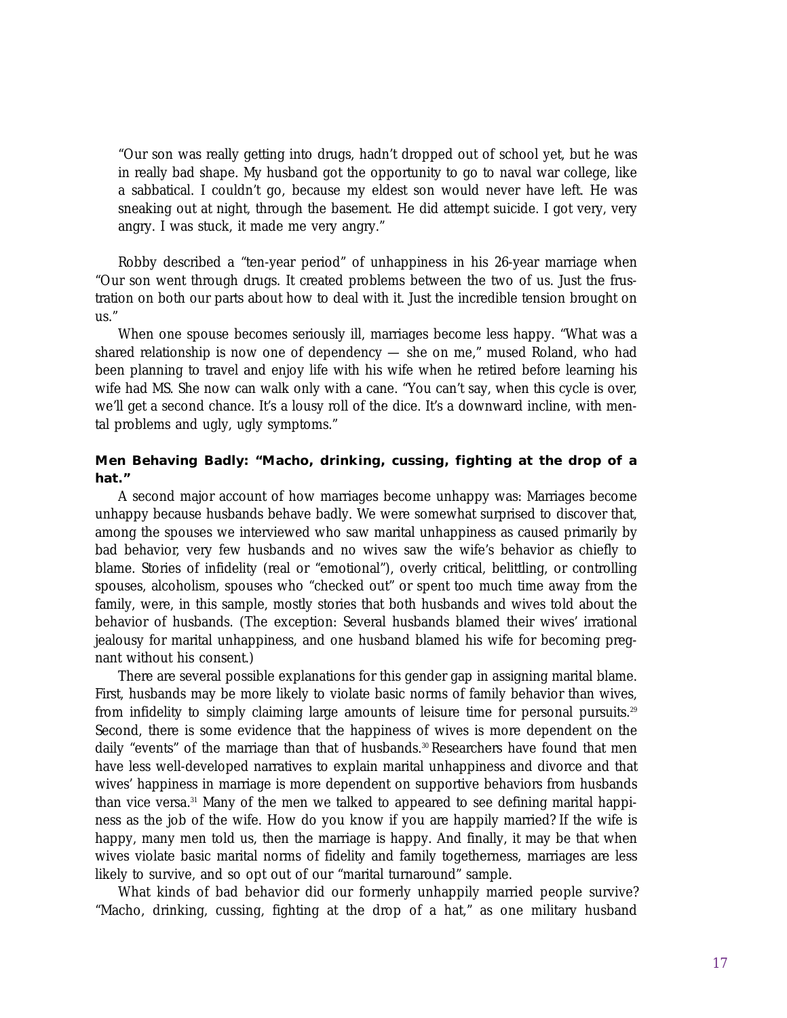"Our son was really getting into drugs, hadn't dropped out of school yet, but he was in really bad shape. My husband got the opportunity to go to naval war college, like a sabbatical. I couldn't go, because my eldest son would never have left. He was sneaking out at night, through the basement. He did attempt suicide. I got very, very angry. I was stuck, it made me very angry."

Robby described a "ten-year period" of unhappiness in his 26-year marriage when "Our son went through drugs. It created problems between the two of us. Just the frustration on both our parts about how to deal with it. Just the incredible tension brought on  $\overline{\text{US}}$ ."

When one spouse becomes seriously ill, marriages become less happy. "What was a shared relationship is now one of dependency — she on me," mused Roland, who had been planning to travel and enjoy life with his wife when he retired before learning his wife had MS. She now can walk only with a cane. "You can't say, when this cycle is over, we'll get a second chance. It's a lousy roll of the dice. It's a downward incline, with mental problems and ugly, ugly symptoms."

# **Men Behaving Badly: "Macho, drinking, cussing, fighting at the drop of a hat."**

A second major account of how marriages become unhappy was: Marriages become unhappy because husbands behave badly. We were somewhat surprised to discover that, among the spouses we interviewed who saw marital unhappiness as caused primarily by bad behavior, very few husbands and no wives saw the wife's behavior as chiefly to blame. Stories of infidelity (real or "emotional"), overly critical, belittling, or controlling spouses, alcoholism, spouses who "checked out" or spent too much time away from the family, were, in this sample, mostly stories that both husbands and wives told about the behavior of husbands. (The exception: Several husbands blamed their wives' irrational jealousy for marital unhappiness, and one husband blamed his wife for becoming pregnant without his consent.)

There are several possible explanations for this gender gap in assigning marital blame. First, husbands may be more likely to violate basic norms of family behavior than wives, from infidelity to simply claiming large amounts of leisure time for personal pursuits.<sup>29</sup> Second, there is some evidence that the happiness of wives is more dependent on the daily "events" of the marriage than that of husbands.<sup>30</sup> Researchers have found that men have less well-developed narratives to explain marital unhappiness and divorce and that wives' happiness in marriage is more dependent on supportive behaviors from husbands than vice versa.<sup>31</sup> Many of the men we talked to appeared to see defining marital happiness as the job of the wife. How do you know if you are happily married? If the wife is happy, many men told us, then the marriage is happy. And finally, it may be that when wives violate basic marital norms of fidelity and family togetherness, marriages are less likely to survive, and so opt out of our "marital turnaround" sample.

What kinds of bad behavior did our formerly unhappily married people survive? "Macho, drinking, cussing, fighting at the drop of a hat," as one military husband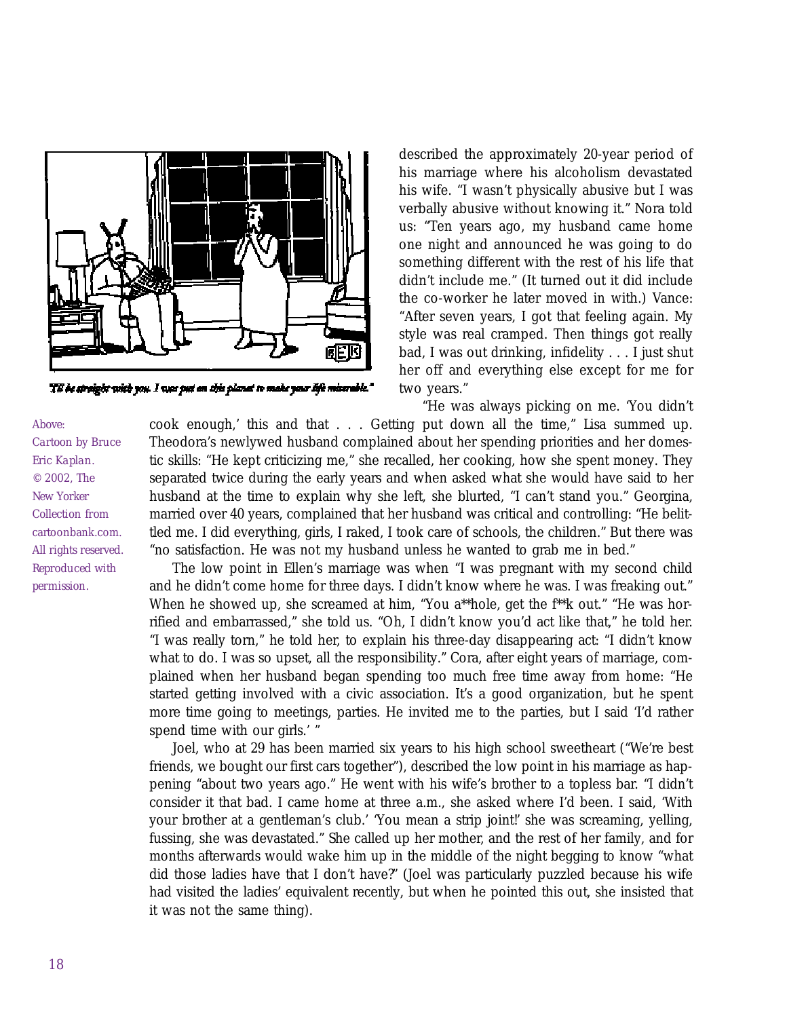

"Til be straight with you. I was put on this planet to make your life miserable."

*Above: Cartoon by Bruce Eric Kaplan. © 2002, The New Yorker Collection from*  cartoonbank.com*. All rights reserved. Reproduced with permission.*

his marriage where his alcoholism devastated his wife. "I wasn't physically abusive but I was verbally abusive without knowing it." Nora told us: "Ten years ago, my husband came home one night and announced he was going to do something different with the rest of his life that didn't include me." (It turned out it did include the co-worker he later moved in with.) Vance: "After seven years, I got that feeling again. My style was real cramped. Then things got really bad, I was out drinking, infidelity . . . I just shut her off and everything else except for me for two years."

described the approximately 20-year period of

"He was always picking on me. 'You didn't cook enough,' this and that . . . Getting put down all the time," Lisa summed up. Theodora's newlywed husband complained about her spending priorities and her domestic skills: "He kept criticizing me," she recalled, her cooking, how she spent money. They separated twice during the early years and when asked what she would have said to her husband at the time to explain why she left, she blurted, "I can't stand you." Georgina, married over 40 years, complained that her husband was critical and controlling: "He belittled me. I did everything, girls, I raked, I took care of schools, the children." But there was "no satisfaction. He was not my husband unless he wanted to grab me in bed."

The low point in Ellen's marriage was when "I was pregnant with my second child and he didn't come home for three days. I didn't know where he was. I was freaking out." When he showed up, she screamed at him, "You a\*\*hole, get the f\*\*k out." "He was horrified and embarrassed," she told us. "Oh, I didn't know you'd act like that," he told her. "I was really torn," he told her, to explain his three-day disappearing act: "I didn't know what to do. I was so upset, all the responsibility." Cora, after eight years of marriage, complained when her husband began spending too much free time away from home: "He started getting involved with a civic association. It's a good organization, but he spent more time going to meetings, parties. He invited me to the parties, but I said 'I'd rather spend time with our girls.'

Joel, who at 29 has been married six years to his high school sweetheart ("We're best friends, we bought our first cars together"), described the low point in his marriage as happening "about two years ago." He went with his wife's brother to a topless bar. "I didn't consider it that bad. I came home at three a.m., she asked where I'd been. I said, 'With your brother at a gentleman's club.' 'You mean a strip joint!' she was screaming, yelling, fussing, she was devastated." She called up her mother, and the rest of her family, and for months afterwards would wake him up in the middle of the night begging to know "what did those ladies have that I don't have?" (Joel was particularly puzzled because his wife had visited the ladies' equivalent recently, but when he pointed this out, she insisted that it was not the same thing).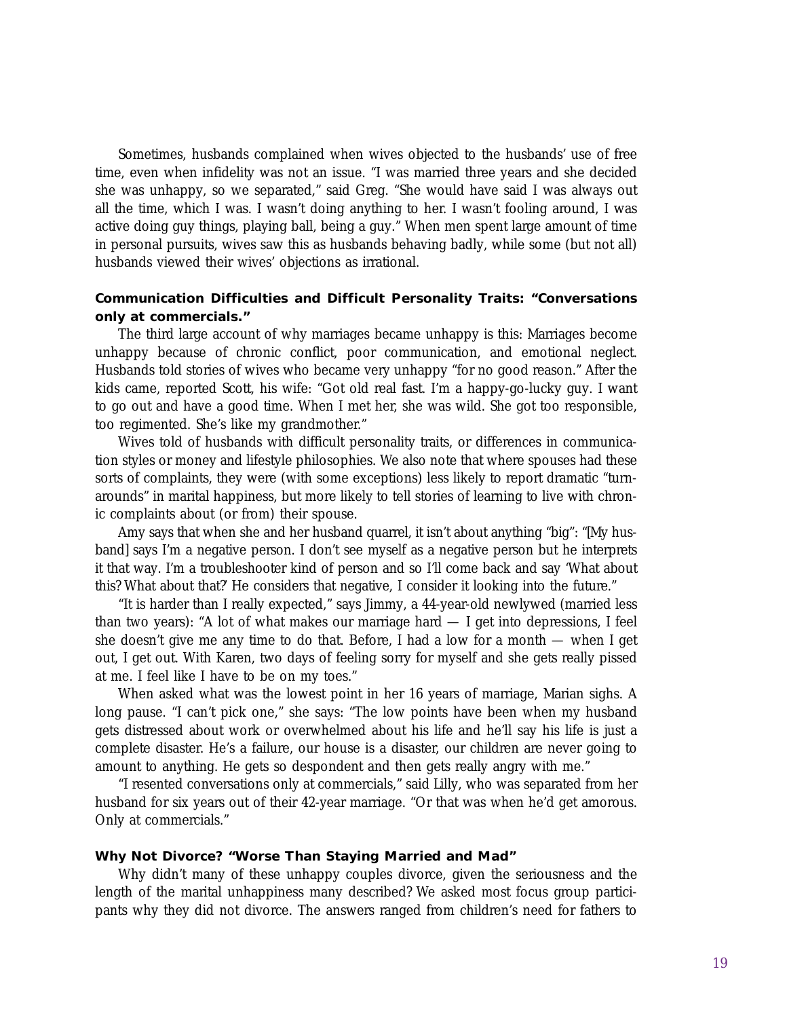Sometimes, husbands complained when wives objected to the husbands' use of free time, even when infidelity was not an issue. "I was married three years and she decided she was unhappy, so we separated," said Greg. "She would have said I was always out all the time, which I was. I wasn't doing anything to her. I wasn't fooling around, I was active doing guy things, playing ball, being a guy." When men spent large amount of time in personal pursuits, wives saw this as husbands behaving badly, while some (but not all) husbands viewed their wives' objections as irrational.

# **Communication Difficulties and Difficult Personality Traits: "Conversations only at commercials."**

The third large account of why marriages became unhappy is this: Marriages become unhappy because of chronic conflict, poor communication, and emotional neglect. Husbands told stories of wives who became very unhappy "for no good reason." After the kids came, reported Scott, his wife: "Got old real fast. I'm a happy-go-lucky guy. I want to go out and have a good time. When I met her, she was wild. She got too responsible, too regimented. She's like my grandmother."

Wives told of husbands with difficult personality traits, or differences in communication styles or money and lifestyle philosophies. We also note that where spouses had these sorts of complaints, they were (with some exceptions) less likely to report dramatic "turnarounds" in marital happiness, but more likely to tell stories of learning to live with chronic complaints about (or from) their spouse.

Amy says that when she and her husband quarrel, it isn't about anything "big": "[My husband] says I'm a negative person. I don't see myself as a negative person but he interprets it that way. I'm a troubleshooter kind of person and so I'll come back and say 'What about this? What about that?' He considers that negative, I consider it looking into the future."

"It is harder than I really expected," says Jimmy, a 44-year-old newlywed (married less than two years): "A lot of what makes our marriage hard — I get into depressions, I feel she doesn't give me any time to do that. Before, I had a low for a month — when I get out, I get out. With Karen, two days of feeling sorry for myself and she gets really pissed at me. I feel like I have to be on my toes."

When asked what was the lowest point in her 16 years of marriage, Marian sighs. A long pause. "I can't pick one," she says: "The low points have been when my husband gets distressed about work or overwhelmed about his life and he'll say his life is just a complete disaster. He's a failure, our house is a disaster, our children are never going to amount to anything. He gets so despondent and then gets really angry with me."

"I resented conversations only at commercials," said Lilly, who was separated from her husband for six years out of their 42-year marriage. "Or that was when he'd get amorous. Only at commercials."

#### **Why Not Divorce? "Worse Than Staying Married and Mad"**

Why didn't many of these unhappy couples divorce, given the seriousness and the length of the marital unhappiness many described? We asked most focus group participants why they did not divorce. The answers ranged from children's need for fathers to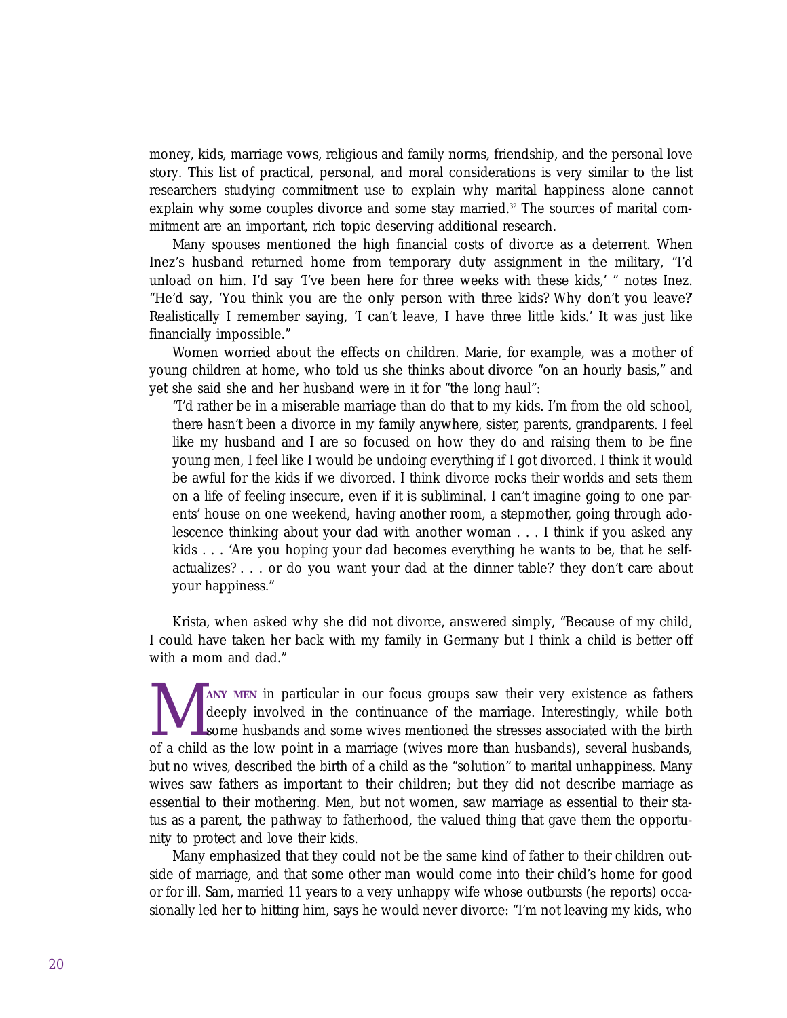money, kids, marriage vows, religious and family norms, friendship, and the personal love story. This list of practical, personal, and moral considerations is very similar to the list researchers studying commitment use to explain why marital happiness alone cannot explain why some couples divorce and some stay married. $32$  The sources of marital commitment are an important, rich topic deserving additional research.

Many spouses mentioned the high financial costs of divorce as a deterrent. When Inez's husband returned home from temporary duty assignment in the military, "I'd unload on him. I'd say 'I've been here for three weeks with these kids,' " notes Inez. "He'd say, 'You think you are the only person with three kids? Why don't you leave?' Realistically I remember saying, 'I can't leave, I have three little kids.' It was just like financially impossible."

Women worried about the effects on children. Marie, for example, was a mother of young children at home, who told us she thinks about divorce "on an hourly basis," and yet she said she and her husband were in it for "the long haul":

"I'd rather be in a miserable marriage than do that to my kids. I'm from the old school, there hasn't been a divorce in my family anywhere, sister, parents, grandparents. I feel like my husband and I are so focused on how they do and raising them to be fine young men, I feel like I would be undoing everything if I got divorced. I think it would be awful for the kids if we divorced. I think divorce rocks their worlds and sets them on a life of feeling insecure, even if it is subliminal. I can't imagine going to one parents' house on one weekend, having another room, a stepmother, going through adolescence thinking about your dad with another woman . . . I think if you asked any kids . . . 'Are you hoping your dad becomes everything he wants to be, that he selfactualizes? . . . or do you want your dad at the dinner table?' they don't care about your happiness."

Krista, when asked why she did not divorce, answered simply, "Because of my child, I could have taken her back with my family in Germany but I think a child is better off with a mom and dad."

**MANY MEN** in particular in our focus groups saw their very existence as fathers deeply involved in the continuance of the marriage. Interestingly, while both some husbands and some wives mentioned the stresses associated deeply involved in the continuance of the marriage. Interestingly, while both some husbands and some wives mentioned the stresses associated with the birth of a child as the low point in a marriage (wives more than husbands), several husbands, but no wives, described the birth of a child as the "solution" to marital unhappiness. Many wives saw fathers as important to their children; but they did not describe marriage as essential to their mothering. Men, but not women, saw marriage as essential to their status as a parent, the pathway to fatherhood, the valued thing that gave them the opportunity to protect and love their kids.

Many emphasized that they could not be the same kind of father to their children outside of marriage, and that some other man would come into their child's home for good or for ill. Sam, married 11 years to a very unhappy wife whose outbursts (he reports) occasionally led her to hitting him, says he would never divorce: "I'm not leaving my kids, who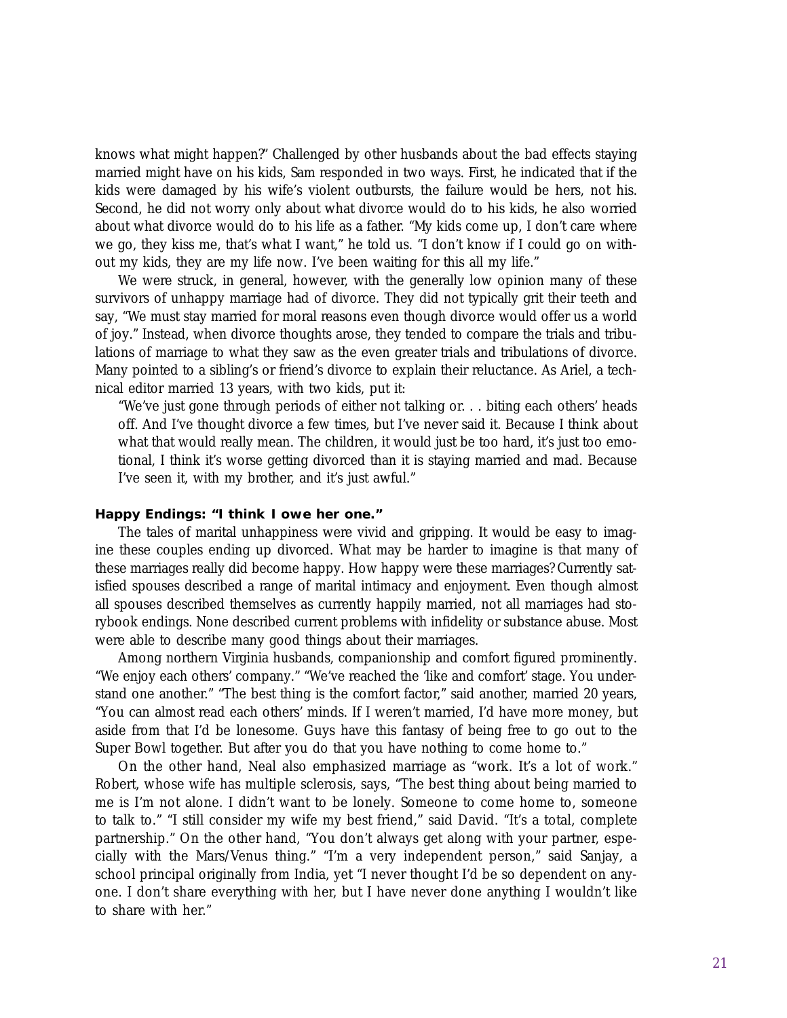knows what might happen?" Challenged by other husbands about the bad effects staying married might have on his kids, Sam responded in two ways. First, he indicated that if the kids were damaged by his wife's violent outbursts, the failure would be hers, not his. Second, he did not worry only about what divorce would do to his kids, he also worried about what divorce would do to his life as a father. "My kids come up, I don't care where we go, they kiss me, that's what I want," he told us. "I don't know if I could go on without my kids, they are my life now. I've been waiting for this all my life."

We were struck, in general, however, with the generally low opinion many of these survivors of unhappy marriage had of divorce. They did not typically grit their teeth and say, "We must stay married for moral reasons even though divorce would offer us a world of joy." Instead, when divorce thoughts arose, they tended to compare the trials and tribulations of marriage to what they saw as the even greater trials and tribulations of divorce. Many pointed to a sibling's or friend's divorce to explain their reluctance. As Ariel, a technical editor married 13 years, with two kids, put it:

"We've just gone through periods of either not talking or. . . biting each others' heads off. And I've thought divorce a few times, but I've never said it. Because I think about what that would really mean. The children, it would just be too hard, it's just too emotional, I think it's worse getting divorced than it is staying married and mad. Because I've seen it, with my brother, and it's just awful."

#### **Happy Endings: "I think I owe her one."**

The tales of marital unhappiness were vivid and gripping. It would be easy to imagine these couples ending up divorced. What may be harder to imagine is that many of these marriages really did become happy. How happy were these marriages? Currently satisfied spouses described a range of marital intimacy and enjoyment. Even though almost all spouses described themselves as currently happily married, not all marriages had storybook endings. None described current problems with infidelity or substance abuse. Most were able to describe many good things about their marriages.

Among northern Virginia husbands, companionship and comfort figured prominently. "We enjoy each others' company." "We've reached the 'like and comfort' stage. You understand one another." "The best thing is the comfort factor," said another, married 20 years, "You can almost read each others' minds. If I weren't married, I'd have more money, but aside from that I'd be lonesome. Guys have this fantasy of being free to go out to the Super Bowl together. But after you do that you have nothing to come home to."

On the other hand, Neal also emphasized marriage as "work. It's a lot of work." Robert, whose wife has multiple sclerosis, says, "The best thing about being married to me is I'm not alone. I didn't want to be lonely. Someone to come home to, someone to talk to." "I still consider my wife my best friend," said David. "It's a total, complete partnership." On the other hand, "You don't always get along with your partner, especially with the Mars/Venus thing." "I'm a very independent person," said Sanjay, a school principal originally from India, yet "I never thought I'd be so dependent on anyone. I don't share everything with her, but I have never done anything I wouldn't like to share with her."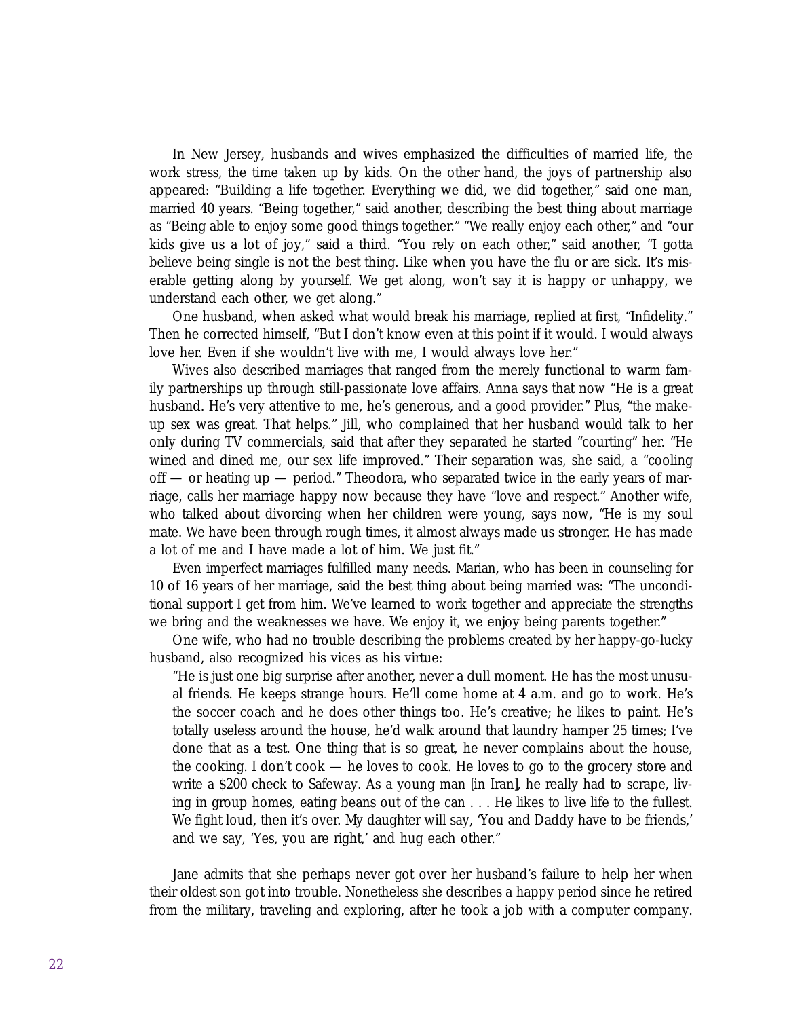In New Jersey, husbands and wives emphasized the difficulties of married life, the work stress, the time taken up by kids. On the other hand, the joys of partnership also appeared: "Building a life together. Everything we did, we did together," said one man, married 40 years. "Being together," said another, describing the best thing about marriage as "Being able to enjoy some good things together." "We really enjoy each other," and "our kids give us a lot of joy," said a third. "You rely on each other," said another, "I gotta believe being single is not the best thing. Like when you have the flu or are sick. It's miserable getting along by yourself. We get along, won't say it is happy or unhappy, we understand each other, we get along."

One husband, when asked what would break his marriage, replied at first, "Infidelity." Then he corrected himself, "But I don't know even at this point if it would. I would always love her. Even if she wouldn't live with me, I would always love her."

Wives also described marriages that ranged from the merely functional to warm family partnerships up through still-passionate love affairs. Anna says that now "He is a great husband. He's very attentive to me, he's generous, and a good provider." Plus, "the makeup sex was great. That helps." Jill, who complained that her husband would talk to her only during TV commercials, said that after they separated he started "courting" her. "He wined and dined me, our sex life improved." Their separation was, she said, a "cooling off — or heating up — period." Theodora, who separated twice in the early years of marriage, calls her marriage happy now because they have "love and respect." Another wife, who talked about divorcing when her children were young, says now, "He is my soul mate. We have been through rough times, it almost always made us stronger. He has made a lot of me and I have made a lot of him. We just fit."

Even imperfect marriages fulfilled many needs. Marian, who has been in counseling for 10 of 16 years of her marriage, said the best thing about being married was: "The unconditional support I get from him. We've learned to work together and appreciate the strengths we bring and the weaknesses we have. We enjoy it, we enjoy being parents together."

One wife, who had no trouble describing the problems created by her happy-go-lucky husband, also recognized his vices as his virtue:

"He is just one big surprise after another, never a dull moment. He has the most unusual friends. He keeps strange hours. He'll come home at 4 a.m. and go to work. He's the soccer coach and he does other things too. He's creative; he likes to paint. He's totally useless around the house, he'd walk around that laundry hamper 25 times; I've done that as a test. One thing that is so great, he never complains about the house, the cooking. I don't cook — he loves to cook. He loves to go to the grocery store and write a \$200 check to Safeway. As a young man [in Iran], he really had to scrape, living in group homes, eating beans out of the can . . . He likes to live life to the fullest. We fight loud, then it's over. My daughter will say, 'You and Daddy have to be friends,' and we say, 'Yes, you are right,' and hug each other."

Jane admits that she perhaps never got over her husband's failure to help her when their oldest son got into trouble. Nonetheless she describes a happy period since he retired from the military, traveling and exploring, after he took a job with a computer company.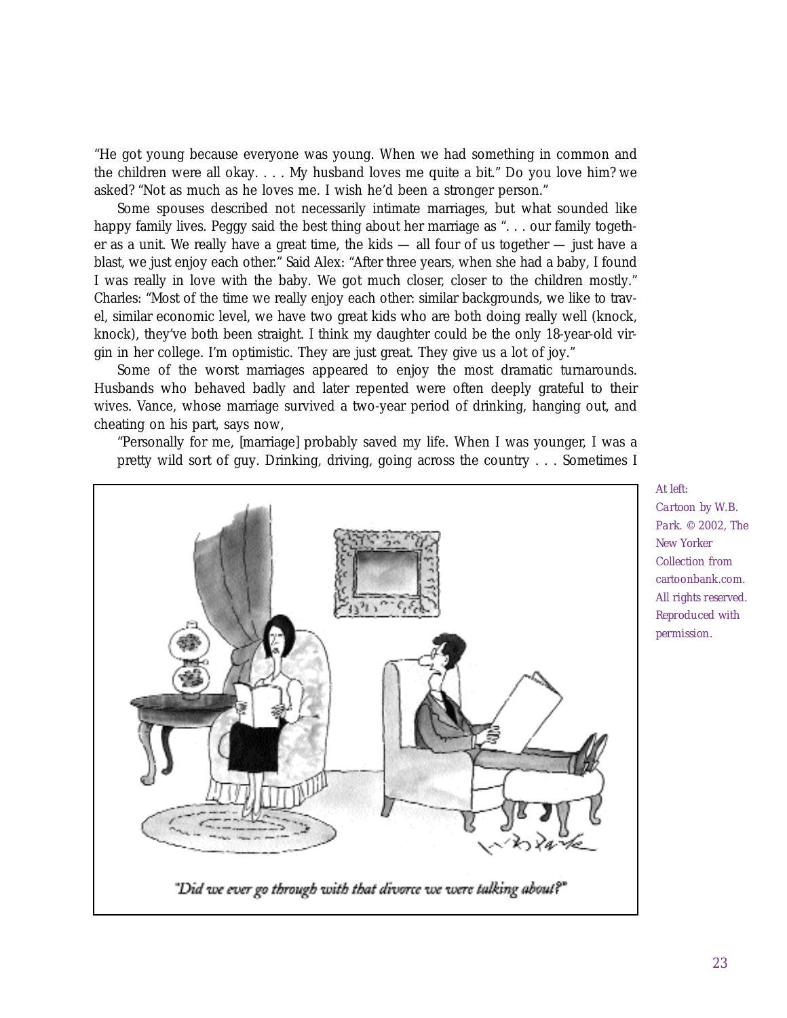"He got young because everyone was young. When we had something in common and the children were all okay. . . . My husband loves me quite a bit." Do you love him? we asked? "Not as much as he loves me. I wish he'd been a stronger person."

Some spouses described not necessarily intimate marriages, but what sounded like happy family lives. Peggy said the best thing about her marriage as ". . . our family together as a unit. We really have a great time, the kids — all four of us together — just have a blast, we just enjoy each other." Said Alex: "After three years, when she had a baby, I found I was really in love with the baby. We got much closer, closer to the children mostly." Charles: "Most of the time we really enjoy each other: similar backgrounds, we like to travel, similar economic level, we have two great kids who are both doing really well (knock, knock), they've both been straight. I think my daughter could be the only 18-year-old virgin in her college. I'm optimistic. They are just great. They give us a lot of joy."

Some of the worst marriages appeared to enjoy the most dramatic turnarounds. Husbands who behaved badly and later repented were often deeply grateful to their wives. Vance, whose marriage survived a two-year period of drinking, hanging out, and cheating on his part, says now,

"Personally for me, [marriage] probably saved my life. When I was younger, I was a pretty wild sort of guy. Drinking, driving, going across the country . . . Sometimes I



*At left: Cartoon by W.B. Park. © 2002, The New Yorker Collection from*  cartoonbank.com. *All rights reserved. Reproduced with permission.*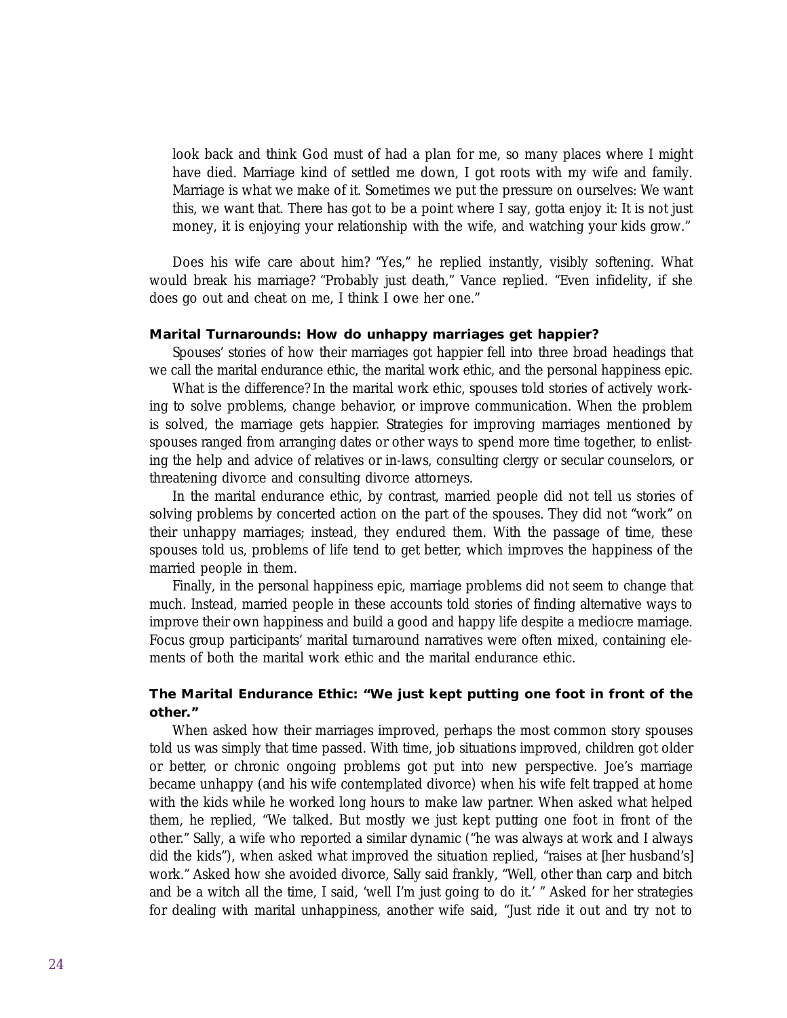look back and think God must of had a plan for me, so many places where I might have died. Marriage kind of settled me down, I got roots with my wife and family. Marriage is what we make of it. Sometimes we put the pressure on ourselves: We want this, we want that. There has got to be a point where I say, gotta enjoy it: It is not just money, it is enjoying your relationship with the wife, and watching your kids grow."

Does his wife care about him? "Yes," he replied instantly, visibly softening. What would break his marriage? "Probably just death," Vance replied. "Even infidelity, if she does go out and cheat on me, I think I owe her one."

### **Marital Turnarounds: How do unhappy marriages get happier?**

Spouses' stories of how their marriages got happier fell into three broad headings that we call the marital endurance ethic, the marital work ethic, and the personal happiness epic.

What is the difference? In the marital work ethic, spouses told stories of actively working to solve problems, change behavior, or improve communication. When the problem is solved, the marriage gets happier. Strategies for improving marriages mentioned by spouses ranged from arranging dates or other ways to spend more time together, to enlisting the help and advice of relatives or in-laws, consulting clergy or secular counselors, or threatening divorce and consulting divorce attorneys.

In the marital endurance ethic, by contrast, married people did not tell us stories of solving problems by concerted action on the part of the spouses. They did not "work" on their unhappy marriages; instead, they endured them. With the passage of time, these spouses told us, problems of life tend to get better, which improves the happiness of the married people in them.

Finally, in the personal happiness epic, marriage problems did not seem to change that much. Instead, married people in these accounts told stories of finding alternative ways to improve their own happiness and build a good and happy life despite a mediocre marriage. Focus group participants' marital turnaround narratives were often mixed, containing elements of both the marital work ethic and the marital endurance ethic.

# **The Marital Endurance Ethic: "We just kept putting one foot in front of the other."**

When asked how their marriages improved, perhaps the most common story spouses told us was simply that time passed. With time, job situations improved, children got older or better, or chronic ongoing problems got put into new perspective. Joe's marriage became unhappy (and his wife contemplated divorce) when his wife felt trapped at home with the kids while he worked long hours to make law partner. When asked what helped them, he replied, "We talked. But mostly we just kept putting one foot in front of the other." Sally, a wife who reported a similar dynamic ("he was always at work and I always did the kids"), when asked what improved the situation replied, "raises at [her husband's] work." Asked how she avoided divorce, Sally said frankly, "Well, other than carp and bitch and be a witch all the time, I said, 'well I'm just going to do it.' " Asked for her strategies for dealing with marital unhappiness, another wife said, "Just ride it out and try not to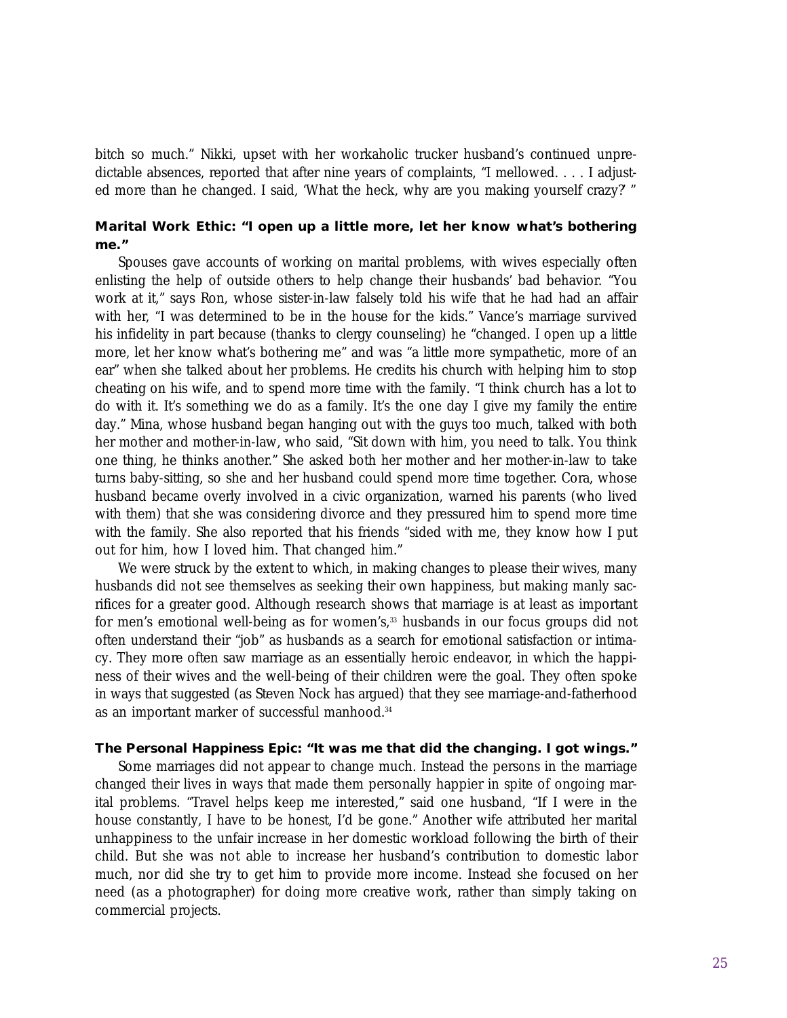bitch so much." Nikki, upset with her workaholic trucker husband's continued unpredictable absences, reported that after nine years of complaints, "I mellowed. . . . I adjusted more than he changed. I said, 'What the heck, why are you making yourself crazy?' "

#### **Marital Work Ethic: "I open up a little more, let her know what's bothering me."**

Spouses gave accounts of working on marital problems, with wives especially often enlisting the help of outside others to help change their husbands' bad behavior. "You work at it," says Ron, whose sister-in-law falsely told his wife that he had had an affair with her, "I was determined to be in the house for the kids." Vance's marriage survived his infidelity in part because (thanks to clergy counseling) he "changed. I open up a little more, let her know what's bothering me" and was "a little more sympathetic, more of an ear" when she talked about her problems. He credits his church with helping him to stop cheating on his wife, and to spend more time with the family. "I think church has a lot to do with it. It's something we do as a family. It's the one day I give my family the entire day." Mina, whose husband began hanging out with the guys too much, talked with both her mother and mother-in-law, who said, "Sit down with him, you need to talk. You think one thing, he thinks another." She asked both her mother and her mother-in-law to take turns baby-sitting, so she and her husband could spend more time together. Cora, whose husband became overly involved in a civic organization, warned his parents (who lived with them) that she was considering divorce and they pressured him to spend more time with the family. She also reported that his friends "sided with me, they know how I put out for him, how I loved him. That changed him."

We were struck by the extent to which, in making changes to please their wives, many husbands did not see themselves as seeking their own happiness, but making manly sacrifices for a greater good. Although research shows that marriage is at least as important for men's emotional well-being as for women's,<sup>33</sup> husbands in our focus groups did not often understand their "job" as husbands as a search for emotional satisfaction or intimacy. They more often saw marriage as an essentially heroic endeavor, in which the happiness of their wives and the well-being of their children were the goal. They often spoke in ways that suggested (as Steven Nock has argued) that they see marriage-and-fatherhood as an important marker of successful manhood.<sup>34</sup>

#### **The Personal Happiness Epic: "It was me that did the changing. I got wings."**

Some marriages did not appear to change much. Instead the persons in the marriage changed their lives in ways that made them personally happier in spite of ongoing marital problems. "Travel helps keep me interested," said one husband, "If I were in the house constantly, I have to be honest, I'd be gone." Another wife attributed her marital unhappiness to the unfair increase in her domestic workload following the birth of their child. But she was not able to increase her husband's contribution to domestic labor much, nor did she try to get him to provide more income. Instead she focused on her need (as a photographer) for doing more creative work, rather than simply taking on commercial projects.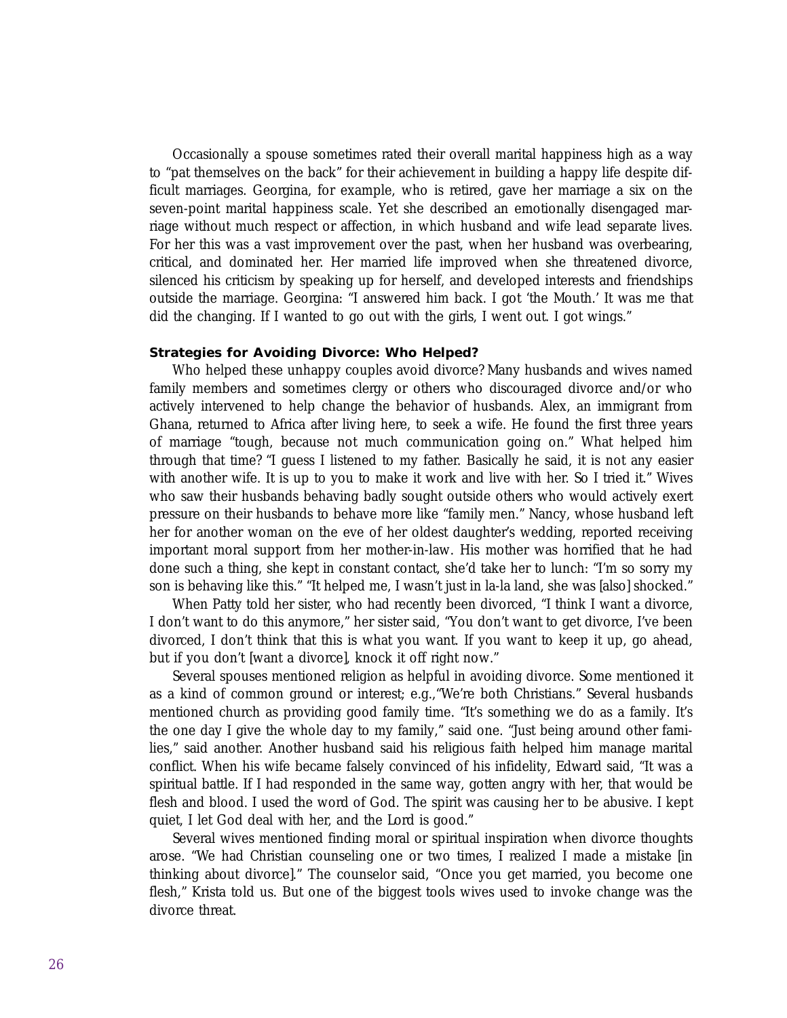Occasionally a spouse sometimes rated their overall marital happiness high as a way to "pat themselves on the back" for their achievement in building a happy life despite difficult marriages. Georgina, for example, who is retired, gave her marriage a six on the seven-point marital happiness scale. Yet she described an emotionally disengaged marriage without much respect or affection, in which husband and wife lead separate lives. For her this was a vast improvement over the past, when her husband was overbearing, critical, and dominated her. Her married life improved when she threatened divorce, silenced his criticism by speaking up for herself, and developed interests and friendships outside the marriage. Georgina: "I answered him back. I got 'the Mouth.' It was me that did the changing. If I wanted to go out with the girls, I went out. I got wings."

#### **Strategies for Avoiding Divorce: Who Helped?**

Who helped these unhappy couples avoid divorce? Many husbands and wives named family members and sometimes clergy or others who discouraged divorce and/or who actively intervened to help change the behavior of husbands. Alex, an immigrant from Ghana, returned to Africa after living here, to seek a wife. He found the first three years of marriage "tough, because not much communication going on." What helped him through that time? "I guess I listened to my father. Basically he said, it is not any easier with another wife. It is up to you to make it work and live with her. So I tried it." Wives who saw their husbands behaving badly sought outside others who would actively exert pressure on their husbands to behave more like "family men." Nancy, whose husband left her for another woman on the eve of her oldest daughter's wedding, reported receiving important moral support from her mother-in-law. His mother was horrified that he had done such a thing, she kept in constant contact, she'd take her to lunch: "I'm so sorry my son is behaving like this." "It helped me, I wasn't just in la-la land, she was [also] shocked."

When Patty told her sister, who had recently been divorced, "I think I want a divorce, I don't want to do this anymore," her sister said, "You don't want to get divorce, I've been divorced, I don't think that this is what you want. If you want to keep it up, go ahead, but if you don't [want a divorce], knock it off right now."

Several spouses mentioned religion as helpful in avoiding divorce. Some mentioned it as a kind of common ground or interest; e.g.,"We're both Christians." Several husbands mentioned church as providing good family time. "It's something we do as a family. It's the one day I give the whole day to my family," said one. "Just being around other families," said another. Another husband said his religious faith helped him manage marital conflict. When his wife became falsely convinced of his infidelity, Edward said, "It was a spiritual battle. If I had responded in the same way, gotten angry with her, that would be flesh and blood. I used the word of God. The spirit was causing her to be abusive. I kept quiet, I let God deal with her, and the Lord is good."

Several wives mentioned finding moral or spiritual inspiration when divorce thoughts arose. "We had Christian counseling one or two times, I realized I made a mistake [in thinking about divorce]." The counselor said, "Once you get married, you become one flesh," Krista told us. But one of the biggest tools wives used to invoke change was the divorce threat.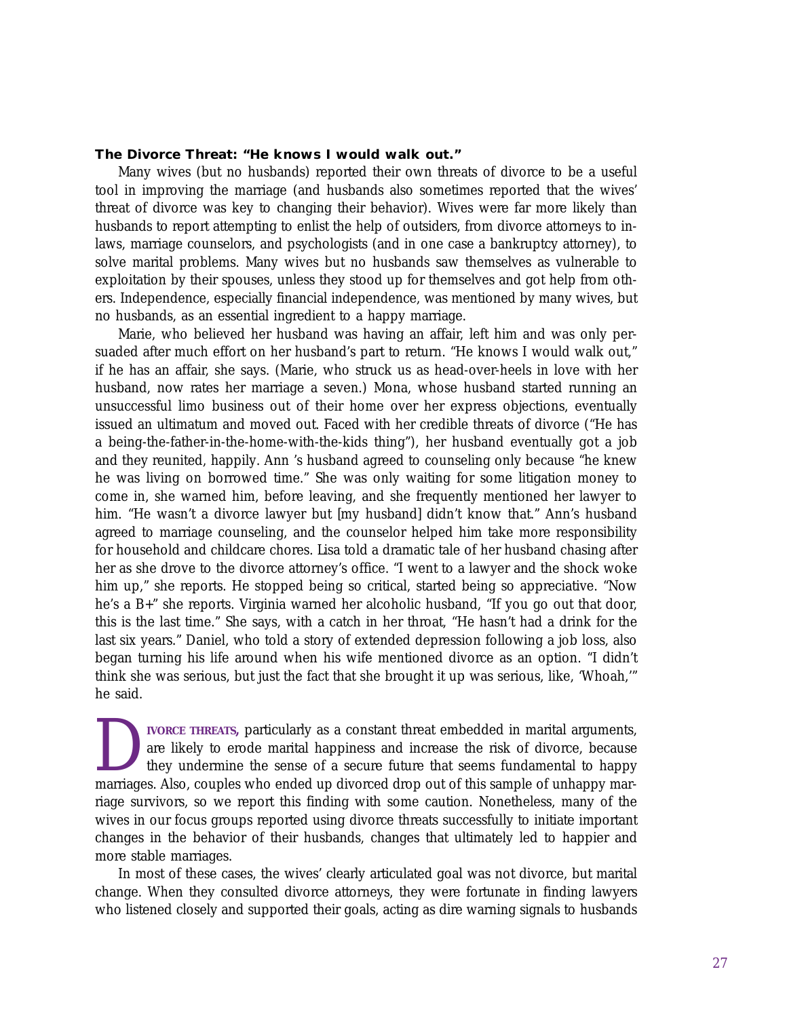#### **The Divorce Threat: "He knows I would walk out."**

Many wives (but no husbands) reported their own threats of divorce to be a useful tool in improving the marriage (and husbands also sometimes reported that the wives' threat of divorce was key to changing their behavior). Wives were far more likely than husbands to report attempting to enlist the help of outsiders, from divorce attorneys to inlaws, marriage counselors, and psychologists (and in one case a bankruptcy attorney), to solve marital problems. Many wives but no husbands saw themselves as vulnerable to exploitation by their spouses, unless they stood up for themselves and got help from others. Independence, especially financial independence, was mentioned by many wives, but no husbands, as an essential ingredient to a happy marriage.

Marie, who believed her husband was having an affair, left him and was only persuaded after much effort on her husband's part to return. "He knows I would walk out," if he has an affair, she says. (Marie, who struck us as head-over-heels in love with her husband, now rates her marriage a seven.) Mona, whose husband started running an unsuccessful limo business out of their home over her express objections, eventually issued an ultimatum and moved out. Faced with her credible threats of divorce ("He has a being-the-father-in-the-home-with-the-kids thing"), her husband eventually got a job and they reunited, happily. Ann 's husband agreed to counseling only because "he knew he was living on borrowed time." She was only waiting for some litigation money to come in, she warned him, before leaving, and she frequently mentioned her lawyer to him. "He wasn't a divorce lawyer but [my husband] didn't know that." Ann's husband agreed to marriage counseling, and the counselor helped him take more responsibility for household and childcare chores. Lisa told a dramatic tale of her husband chasing after her as she drove to the divorce attorney's office. "I went to a lawyer and the shock woke him up," she reports. He stopped being so critical, started being so appreciative. "Now he's a B+" she reports. Virginia warned her alcoholic husband, "If you go out that door, this is the last time." She says, with a catch in her throat, "He hasn't had a drink for the last six years." Daniel, who told a story of extended depression following a job loss, also began turning his life around when his wife mentioned divorce as an option. "I didn't think she was serious, but just the fact that she brought it up was serious, like, 'Whoah,'" he said.

**IVORCE THREATS,** particularly as a constant threat embedded in marital arguments, are likely to erode marital happiness and increase the risk of divorce, because they undermine the sense of a secure future that seems fundamental to happy marriages. Also, couples who ended up divorced drop out of this sample of unhappy marriage survivors, so we report this finding with some caution. Nonetheless, many of the wives in our focus groups reported using divorce threats successfully to initiate important changes in the behavior of their husbands, changes that ultimately led to happier and more stable marriages.

In most of these cases, the wives' clearly articulated goal was not divorce, but marital change. When they consulted divorce attorneys, they were fortunate in finding lawyers who listened closely and supported their goals, acting as dire warning signals to husbands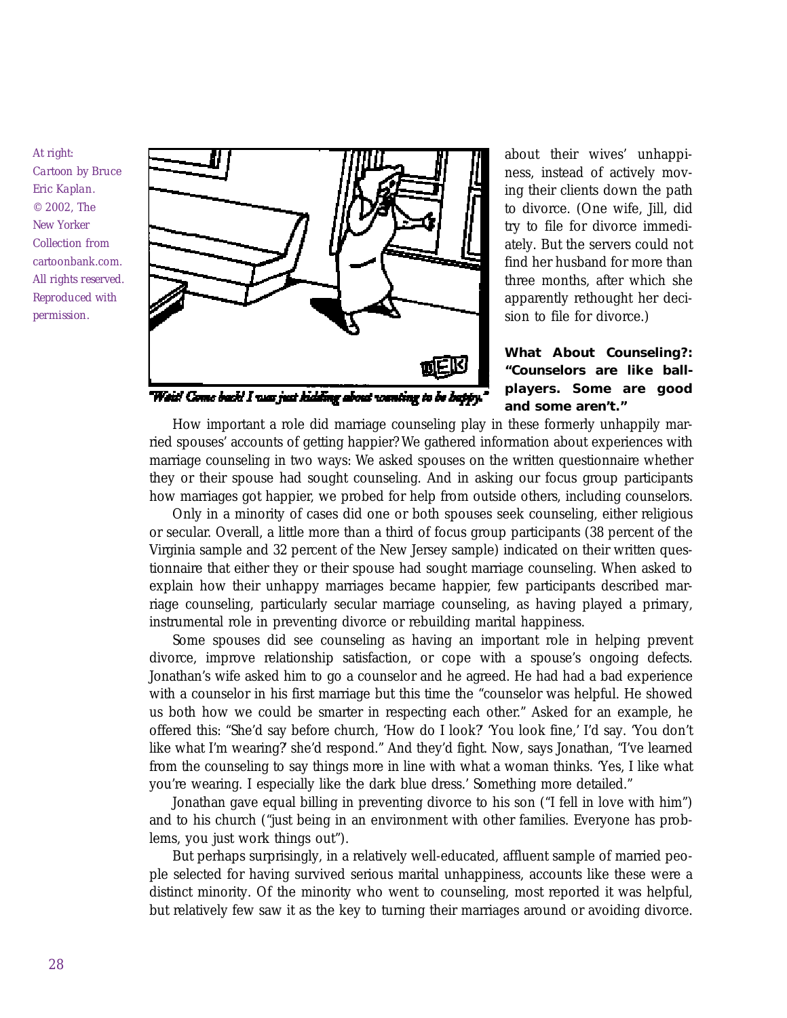*At right: Cartoon by Bruce Eric Kaplan. © 2002, The New Yorker Collection from* cartoonbank.com. *All rights reserved. Reproduced with permission.*



about their wives' unhappiness, instead of actively moving their clients down the path to divorce. (One wife, Jill, did try to file for divorce immediately. But the servers could not find her husband for more than three months, after which she apparently rethought her decision to file for divorce.)

# **What About Counseling?: "Counselors are like ballplayers. Some are good and some aren't."**

"Wait! Come back! I was just hidding about wanting to be happy."

How important a role did marriage counseling play in these formerly unhappily married spouses' accounts of getting happier? We gathered information about experiences with marriage counseling in two ways: We asked spouses on the written questionnaire whether they or their spouse had sought counseling. And in asking our focus group participants how marriages got happier, we probed for help from outside others, including counselors.

Only in a minority of cases did one or both spouses seek counseling, either religious or secular. Overall, a little more than a third of focus group participants (38 percent of the Virginia sample and 32 percent of the New Jersey sample) indicated on their written questionnaire that either they or their spouse had sought marriage counseling. When asked to explain how their unhappy marriages became happier, few participants described marriage counseling, particularly secular marriage counseling, as having played a primary, instrumental role in preventing divorce or rebuilding marital happiness.

Some spouses did see counseling as having an important role in helping prevent divorce, improve relationship satisfaction, or cope with a spouse's ongoing defects. Jonathan's wife asked him to go a counselor and he agreed. He had had a bad experience with a counselor in his first marriage but this time the "counselor was helpful. He showed us both how we could be smarter in respecting each other." Asked for an example, he offered this: "She'd say before church, 'How do I look?' 'You look fine,' I'd say. 'You don't like what I'm wearing?' she'd respond." And they'd fight. Now, says Jonathan, "I've learned from the counseling to say things more in line with what a woman thinks. 'Yes, I like what you're wearing. I especially like the dark blue dress.' Something more detailed."

Jonathan gave equal billing in preventing divorce to his son ("I fell in love with him") and to his church ("just being in an environment with other families. Everyone has problems, you just work things out").

But perhaps surprisingly, in a relatively well-educated, affluent sample of married people selected for having survived serious marital unhappiness, accounts like these were a distinct minority. Of the minority who went to counseling, most reported it was helpful, but relatively few saw it as the key to turning their marriages around or avoiding divorce.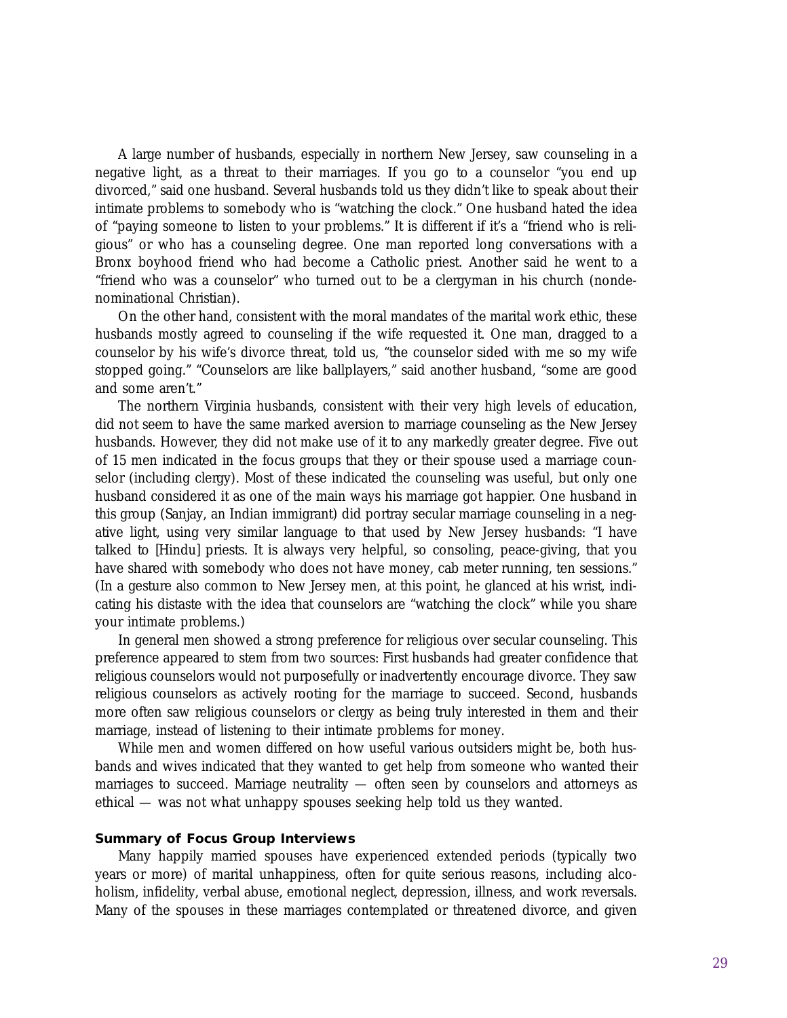A large number of husbands, especially in northern New Jersey, saw counseling in a negative light, as a threat to their marriages. If you go to a counselor "you end up divorced," said one husband. Several husbands told us they didn't like to speak about their intimate problems to somebody who is "watching the clock." One husband hated the idea of "paying someone to listen to your problems." It is different if it's a "friend who is religious" or who has a counseling degree. One man reported long conversations with a Bronx boyhood friend who had become a Catholic priest. Another said he went to a "friend who was a counselor" who turned out to be a clergyman in his church (nondenominational Christian).

On the other hand, consistent with the moral mandates of the marital work ethic, these husbands mostly agreed to counseling if the wife requested it. One man, dragged to a counselor by his wife's divorce threat, told us, "the counselor sided with me so my wife stopped going." "Counselors are like ballplayers," said another husband, "some are good and some aren't."

The northern Virginia husbands, consistent with their very high levels of education, did not seem to have the same marked aversion to marriage counseling as the New Jersey husbands. However, they did not make use of it to any markedly greater degree. Five out of 15 men indicated in the focus groups that they or their spouse used a marriage counselor (including clergy). Most of these indicated the counseling was useful, but only one husband considered it as one of the main ways his marriage got happier. One husband in this group (Sanjay, an Indian immigrant) did portray secular marriage counseling in a negative light, using very similar language to that used by New Jersey husbands: "I have talked to [Hindu] priests. It is always very helpful, so consoling, peace-giving, that you have shared with somebody who does not have money, cab meter running, ten sessions." (In a gesture also common to New Jersey men, at this point, he glanced at his wrist, indicating his distaste with the idea that counselors are "watching the clock" while you share your intimate problems.)

In general men showed a strong preference for religious over secular counseling. This preference appeared to stem from two sources: First husbands had greater confidence that religious counselors would not purposefully or inadvertently encourage divorce. They saw religious counselors as actively rooting for the marriage to succeed. Second, husbands more often saw religious counselors or clergy as being truly interested in them and their marriage, instead of listening to their intimate problems for money.

While men and women differed on how useful various outsiders might be, both husbands and wives indicated that they wanted to get help from someone who wanted their marriages to succeed. Marriage neutrality — often seen by counselors and attorneys as ethical — was not what unhappy spouses seeking help told us they wanted.

#### **Summary of Focus Group Interviews**

Many happily married spouses have experienced extended periods (typically two years or more) of marital unhappiness, often for quite serious reasons, including alcoholism, infidelity, verbal abuse, emotional neglect, depression, illness, and work reversals. Many of the spouses in these marriages contemplated or threatened divorce, and given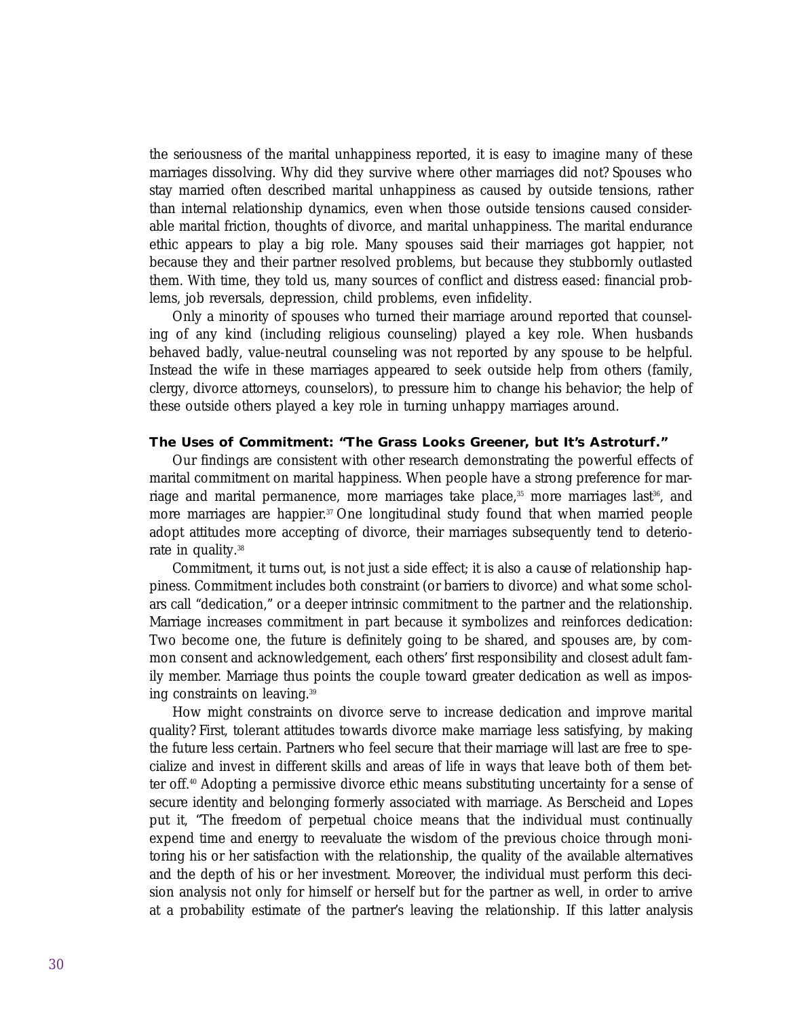the seriousness of the marital unhappiness reported, it is easy to imagine many of these marriages dissolving. Why did they survive where other marriages did not? Spouses who stay married often described marital unhappiness as caused by outside tensions, rather than internal relationship dynamics, even when those outside tensions caused considerable marital friction, thoughts of divorce, and marital unhappiness. The marital endurance ethic appears to play a big role. Many spouses said their marriages got happier, not because they and their partner resolved problems, but because they stubbornly outlasted them. With time, they told us, many sources of conflict and distress eased: financial problems, job reversals, depression, child problems, even infidelity.

Only a minority of spouses who turned their marriage around reported that counseling of any kind (including religious counseling) played a key role. When husbands behaved badly, value-neutral counseling was not reported by any spouse to be helpful. Instead the wife in these marriages appeared to seek outside help from others (family, clergy, divorce attorneys, counselors), to pressure him to change his behavior; the help of these outside others played a key role in turning unhappy marriages around.

#### **The Uses of Commitment: "The Grass Looks Greener, but It's Astroturf."**

Our findings are consistent with other research demonstrating the powerful effects of marital commitment on marital happiness. When people have a strong preference for marriage and marital permanence, more marriages take place, $35$  more marriages last $36$ , and more marriages are happier.<sup>37</sup> One longitudinal study found that when married people adopt attitudes more accepting of divorce, their marriages subsequently tend to deteriorate in quality.<sup>38</sup>

Commitment, it turns out, is not just a side effect; it is also a *cause* of relationship happiness. Commitment includes both constraint (or barriers to divorce) and what some scholars call "dedication," or a deeper intrinsic commitment to the partner and the relationship. Marriage increases commitment in part because it symbolizes and reinforces dedication: Two become one, the future is definitely going to be shared, and spouses are, by common consent and acknowledgement, each others' first responsibility and closest adult family member. Marriage thus points the couple toward greater dedication as well as imposing constraints on leaving.39

How might constraints on divorce serve to increase dedication and improve marital quality? First, tolerant attitudes towards divorce make marriage less satisfying, by making the future less certain. Partners who feel secure that their marriage will last are free to specialize and invest in different skills and areas of life in ways that leave both of them better off.<sup>40</sup> Adopting a permissive divorce ethic means substituting uncertainty for a sense of secure identity and belonging formerly associated with marriage. As Berscheid and Lopes put it, "The freedom of perpetual choice means that the individual must continually expend time and energy to reevaluate the wisdom of the previous choice through monitoring his or her satisfaction with the relationship, the quality of the available alternatives and the depth of his or her investment. Moreover, the individual must perform this decision analysis not only for himself or herself but for the partner as well, in order to arrive at a probability estimate of the partner's leaving the relationship. If this latter analysis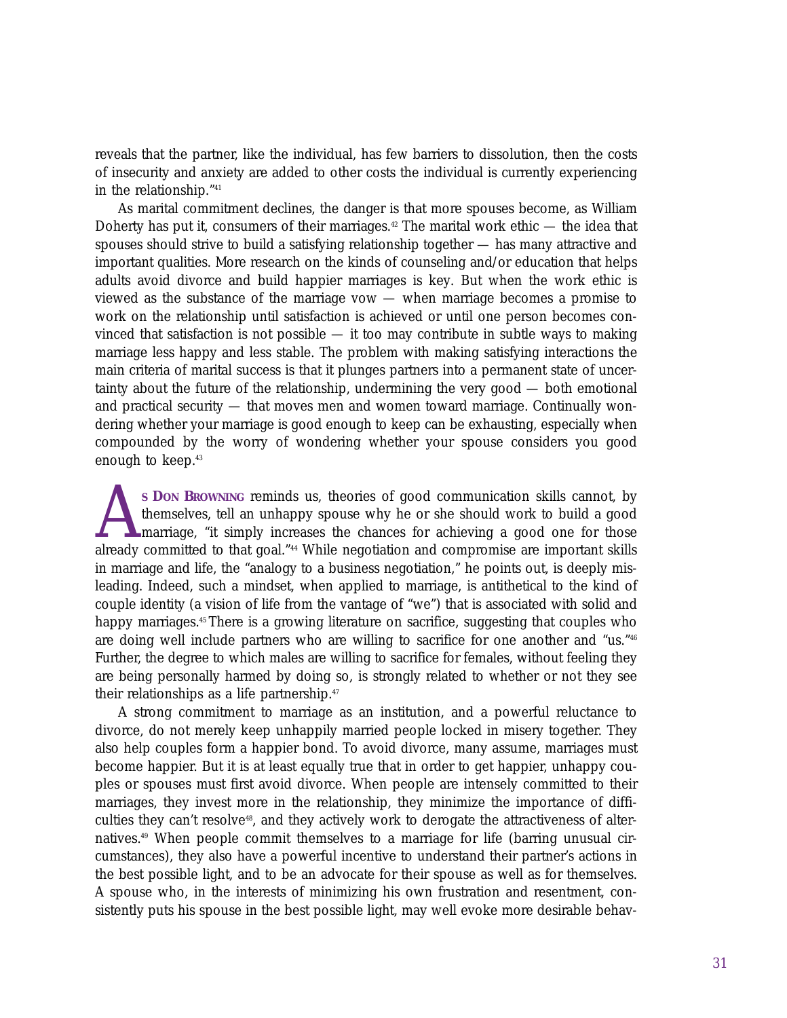reveals that the partner, like the individual, has few barriers to dissolution, then the costs of insecurity and anxiety are added to other costs the individual is currently experiencing in the relationship."41

As marital commitment declines, the danger is that more spouses become, as William Doherty has put it, consumers of their marriages.<sup>42</sup> The marital work ethic — the idea that spouses should strive to build a satisfying relationship together — has many attractive and important qualities. More research on the kinds of counseling and/or education that helps adults avoid divorce and build happier marriages is key. But when the work ethic is viewed as the substance of the marriage vow — when marriage becomes a promise to work on the relationship until satisfaction is achieved or until one person becomes convinced that satisfaction is not possible — it too may contribute in subtle ways to making marriage less happy and less stable. The problem with making satisfying interactions the main criteria of marital success is that it plunges partners into a permanent state of uncertainty about the future of the relationship, undermining the very good — both emotional and practical security — that moves men and women toward marriage. Continually wondering whether your marriage is good enough to keep can be exhausting, especially when compounded by the worry of wondering whether your spouse considers you good enough to keep.<sup>43</sup>

**S** DON BROWNING reminds us, theories of good communication skills cannot, by themselves, tell an unhappy spouse why he or she should work to build a good marriage, "it simply increases the chances for achieving a good one themselves, tell an unhappy spouse why he or she should work to build a good marriage, "it simply increases the chances for achieving a good one for those already committed to that goal."<sup>44</sup> While negotiation and compromise are important skills in marriage and life, the "analogy to a business negotiation," he points out, is deeply misleading. Indeed, such a mindset, when applied to marriage, is antithetical to the kind of couple identity (a vision of life from the vantage of "we") that is associated with solid and happy marriages.<sup>45</sup> There is a growing literature on sacrifice, suggesting that couples who are doing well include partners who are willing to sacrifice for one another and "us."46 Further, the degree to which males are willing to sacrifice for females, without feeling they are being personally harmed by doing so, is strongly related to whether or not they see their relationships as a life partnership.<sup>47</sup>

A strong commitment to marriage as an institution, and a powerful reluctance to divorce, do not merely keep unhappily married people locked in misery together. They also help couples form a happier bond. To avoid divorce, many assume, marriages must become happier. But it is at least equally true that in order to get happier, unhappy couples or spouses must first avoid divorce. When people are intensely committed to their marriages, they invest more in the relationship, they minimize the importance of difficulties they can't resolve<sup>48</sup>, and they actively work to derogate the attractiveness of alternatives.49 When people commit themselves to a marriage for life (barring unusual circumstances), they also have a powerful incentive to understand their partner's actions in the best possible light, and to be an advocate for their spouse as well as for themselves. A spouse who, in the interests of minimizing his own frustration and resentment, consistently puts his spouse in the best possible light, may well evoke more desirable behav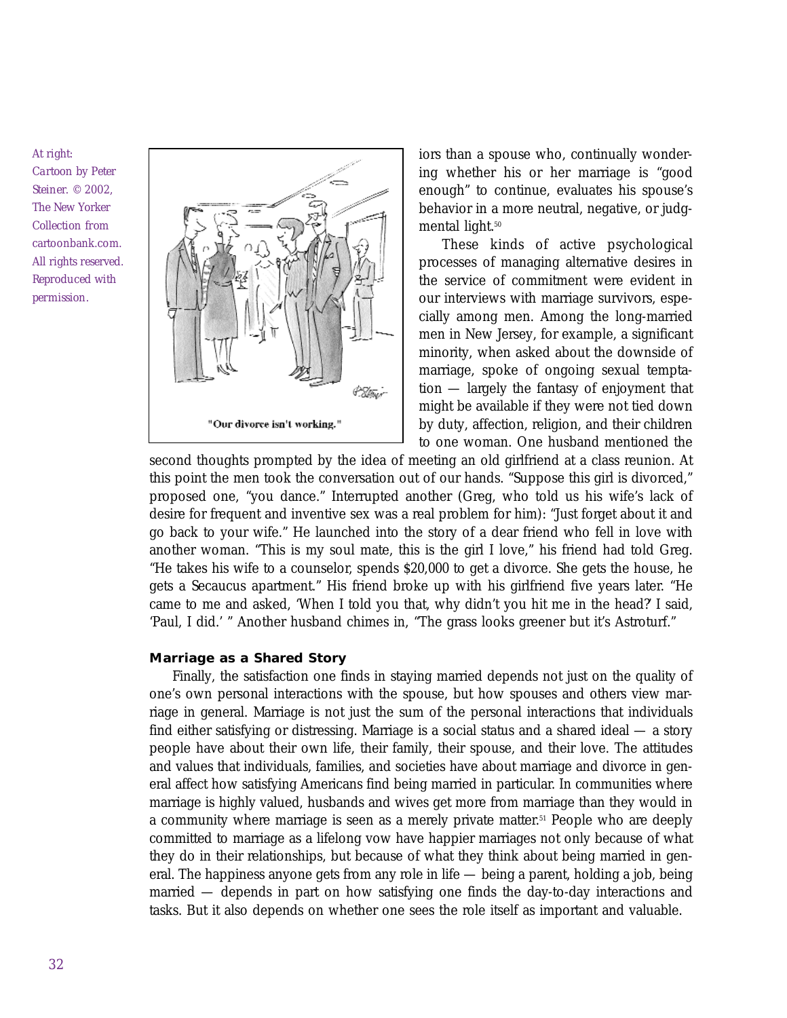*At right: Cartoon by Peter Steiner. © 2002, The New Yorker Collection from*  cartoonbank.com. *All rights reserved. Reproduced with permission.*



iors than a spouse who, continually wondering whether his or her marriage is "good enough" to continue, evaluates his spouse's behavior in a more neutral, negative, or judgmental light.<sup>50</sup>

These kinds of active psychological processes of managing alternative desires in the service of commitment were evident in our interviews with marriage survivors, especially among men. Among the long-married men in New Jersey, for example, a significant minority, when asked about the downside of marriage, spoke of ongoing sexual temptation — largely the fantasy of enjoyment that might be available if they were not tied down by duty, affection, religion, and their children to one woman. One husband mentioned the

second thoughts prompted by the idea of meeting an old girlfriend at a class reunion. At this point the men took the conversation out of our hands. "Suppose this girl is divorced," proposed one, "you dance." Interrupted another (Greg, who told us his wife's lack of desire for frequent and inventive sex was a real problem for him): "Just forget about it and go back to your wife." He launched into the story of a dear friend who fell in love with another woman. "This is my soul mate, this is the girl I love," his friend had told Greg. "He takes his wife to a counselor, spends \$20,000 to get a divorce. She gets the house, he gets a Secaucus apartment." His friend broke up with his girlfriend five years later. "He came to me and asked, 'When I told you that, why didn't you hit me in the head?' I said, 'Paul, I did.' " Another husband chimes in, "The grass looks greener but it's Astroturf."

#### **Marriage as a Shared Story**

Finally, the satisfaction one finds in staying married depends not just on the quality of one's own personal interactions with the spouse, but how spouses and others view marriage in general. Marriage is not just the sum of the personal interactions that individuals find either satisfying or distressing. Marriage is a social status and a shared ideal — a story people have about their own life, their family, their spouse, and their love. The attitudes and values that individuals, families, and societies have about marriage and divorce in general affect how satisfying Americans find being married in particular. In communities where marriage is highly valued, husbands and wives get more from marriage than they would in a community where marriage is seen as a merely private matter.<sup>51</sup> People who are deeply committed to marriage as a lifelong vow have happier marriages not only because of what they do in their relationships, but because of what they think about being married in general. The happiness anyone gets from any role in life — being a parent, holding a job, being married — depends in part on how satisfying one finds the day-to-day interactions and tasks. But it also depends on whether one sees the role itself as important and valuable.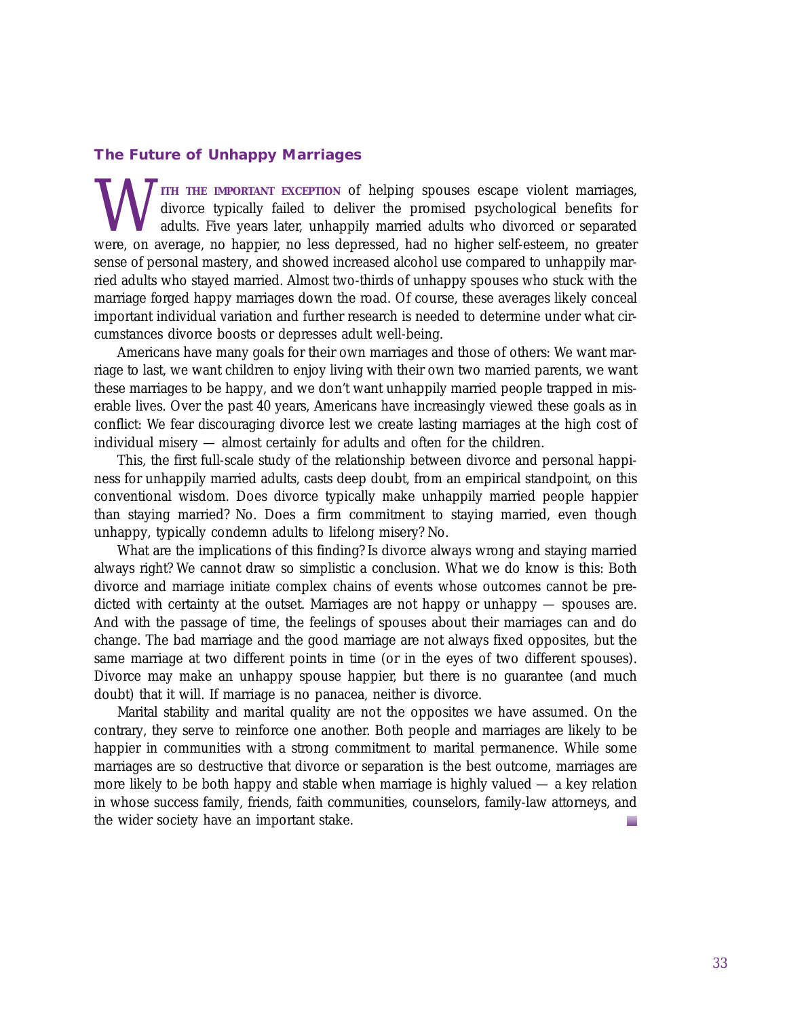# **The Future of Unhappy Marriages**

**THE IMPORTANT EXCEPTION** of helping spouses escape violent marriages, divorce typically failed to deliver the promised psychological benefits for adults. Five years later, unhappily married adults who divorced or separated were, on average, no happier, no less depressed, had no higher self-esteem, no greater sense of personal mastery, and showed increased alcohol use compared to unhappily married adults who stayed married. Almost two-thirds of unhappy spouses who stuck with the marriage forged happy marriages down the road. Of course, these averages likely conceal important individual variation and further research is needed to determine under what circumstances divorce boosts or depresses adult well-being.

Americans have many goals for their own marriages and those of others: We want marriage to last, we want children to enjoy living with their own two married parents, we want these marriages to be happy, and we don't want unhappily married people trapped in miserable lives. Over the past 40 years, Americans have increasingly viewed these goals as in conflict: We fear discouraging divorce lest we create lasting marriages at the high cost of individual misery — almost certainly for adults and often for the children.

This, the first full-scale study of the relationship between divorce and personal happiness for unhappily married adults, casts deep doubt, from an empirical standpoint, on this conventional wisdom. Does divorce typically make unhappily married people happier than staying married? No. Does a firm commitment to staying married, even though unhappy, typically condemn adults to lifelong misery? No.

What are the implications of this finding? Is divorce always wrong and staying married always right? We cannot draw so simplistic a conclusion. What we do know is this: Both divorce and marriage initiate complex chains of events whose outcomes cannot be predicted with certainty at the outset. Marriages are not happy or unhappy — spouses are. And with the passage of time, the feelings of spouses about their marriages can and do change. The bad marriage and the good marriage are not always fixed opposites, but the same marriage at two different points in time (or in the eyes of two different spouses). Divorce may make an unhappy spouse happier, but there is no guarantee (and much doubt) that it will. If marriage is no panacea, neither is divorce.

Marital stability and marital quality are not the opposites we have assumed. On the contrary, they serve to reinforce one another. Both people and marriages are likely to be happier in communities with a strong commitment to marital permanence. While some marriages are so destructive that divorce or separation is the best outcome, marriages are more likely to be both happy and stable when marriage is highly valued — a key relation in whose success family, friends, faith communities, counselors, family-law attorneys, and the wider society have an important stake. ×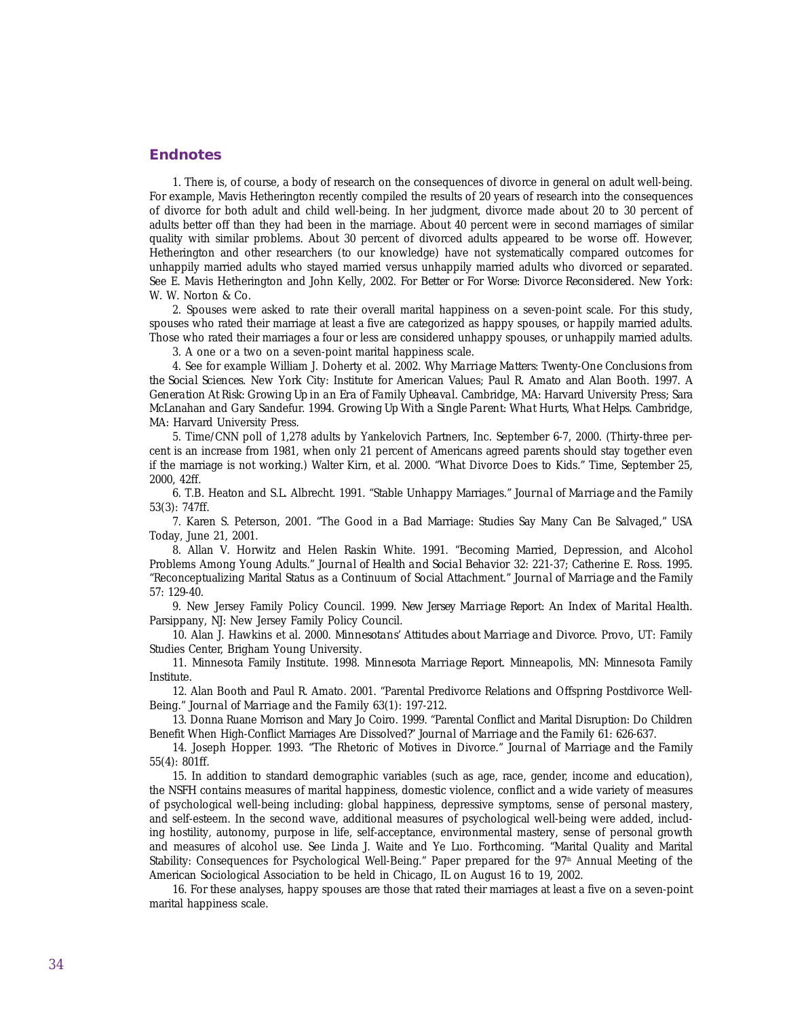#### **Endnotes**

1. There is, of course, a body of research on the consequences of divorce in general on adult well-being. For example, Mavis Hetherington recently compiled the results of 20 years of research into the consequences of divorce for both adult and child well-being. In her judgment, divorce made about 20 to 30 percent of adults better off than they had been in the marriage. About 40 percent were in second marriages of similar quality with similar problems. About 30 percent of divorced adults appeared to be worse off. However, Hetherington and other researchers (to our knowledge) have not systematically compared outcomes for unhappily married adults who stayed married versus unhappily married adults who divorced or separated. See E. Mavis Hetherington and John Kelly, 2002. *For Better or For Worse: Divorce Reconsidered.* New York: W. W. Norton & Co.

2. Spouses were asked to rate their overall marital happiness on a seven-point scale. For this study, spouses who rated their marriage at least a five are categorized as happy spouses, or happily married adults. Those who rated their marriages a four or less are considered unhappy spouses, or unhappily married adults.

3. A one or a two on a seven-point marital happiness scale.

4. See for example William J. Doherty et al. 2002. *Why Marriage Matters: Twenty-One Conclusions from the Social Sciences.* New York City: Institute for American Values; Paul R. Amato and Alan Booth. 1997. *A Generation At Risk: Growing Up in an Era of Family Upheaval.* Cambridge, MA: Harvard University Press; Sara McLanahan and Gary Sandefur. 1994. *Growing Up With a Single Parent: What Hurts, What Helps.* Cambridge, MA: Harvard University Press.

5. Time/CNN poll of 1,278 adults by Yankelovich Partners, Inc. September 6-7, 2000. (Thirty-three percent is an increase from 1981, when only 21 percent of Americans agreed parents should stay together even if the marriage is not working.) Walter Kirn, et al. 2000. "What Divorce Does to Kids." Time, September 25, 2000, 42ff.

6. T.B. Heaton and S.L. Albrecht. 1991. "Stable Unhappy Marriages." *Journal of Marriage and the Family* 53(3): 747ff.

7. Karen S. Peterson, 2001. "The Good in a Bad Marriage: Studies Say Many Can Be Salvaged," USA Today, June 21, 2001.

8. Allan V. Horwitz and Helen Raskin White. 1991. "Becoming Married, Depression, and Alcohol Problems Among Young Adults." *Journal of Health and Social Behavior* 32: 221-37; Catherine E. Ross. 1995. "Reconceptualizing Marital Status as a Continuum of Social Attachment." *Journal of Marriage and the Family* 57: 129-40.

9. New Jersey Family Policy Council. 1999. *New Jersey Marriage Report: An Index of Marital Health.* Parsippany, NJ: New Jersey Family Policy Council.

10. Alan J. Hawkins et al. 2000. *Minnesotans' Attitudes about Marriage and Divorce.* Provo, UT: Family Studies Center, Brigham Young University.

11. Minnesota Family Institute. 1998. *Minnesota Marriage Report*. Minneapolis, MN: Minnesota Family Institute.

12. Alan Booth and Paul R. Amato. 2001. "Parental Predivorce Relations and Offspring Postdivorce Well-Being." *Journal of Marriage and the Family* 63(1): 197-212.

13. Donna Ruane Morrison and Mary Jo Coiro. 1999. "Parental Conflict and Marital Disruption: Do Children Benefit When High-Conflict Marriages Are Dissolved?" *Journal of Marriage and the Family* 61: 626-637.

14. Joseph Hopper. 1993. "The Rhetoric of Motives in Divorce." *Journal of Marriage and the Family* 55(4): 801ff.

15. In addition to standard demographic variables (such as age, race, gender, income and education), the NSFH contains measures of marital happiness, domestic violence, conflict and a wide variety of measures of psychological well-being including: global happiness, depressive symptoms, sense of personal mastery, and self-esteem. In the second wave, additional measures of psychological well-being were added, including hostility, autonomy, purpose in life, self-acceptance, environmental mastery, sense of personal growth and measures of alcohol use. See Linda J. Waite and Ye Luo. Forthcoming. "Marital Quality and Marital Stability: Consequences for Psychological Well-Being." Paper prepared for the  $97<sup>th</sup>$  Annual Meeting of the American Sociological Association to be held in Chicago, IL on August 16 to 19, 2002.

16. For these analyses, happy spouses are those that rated their marriages at least a five on a seven-point marital happiness scale.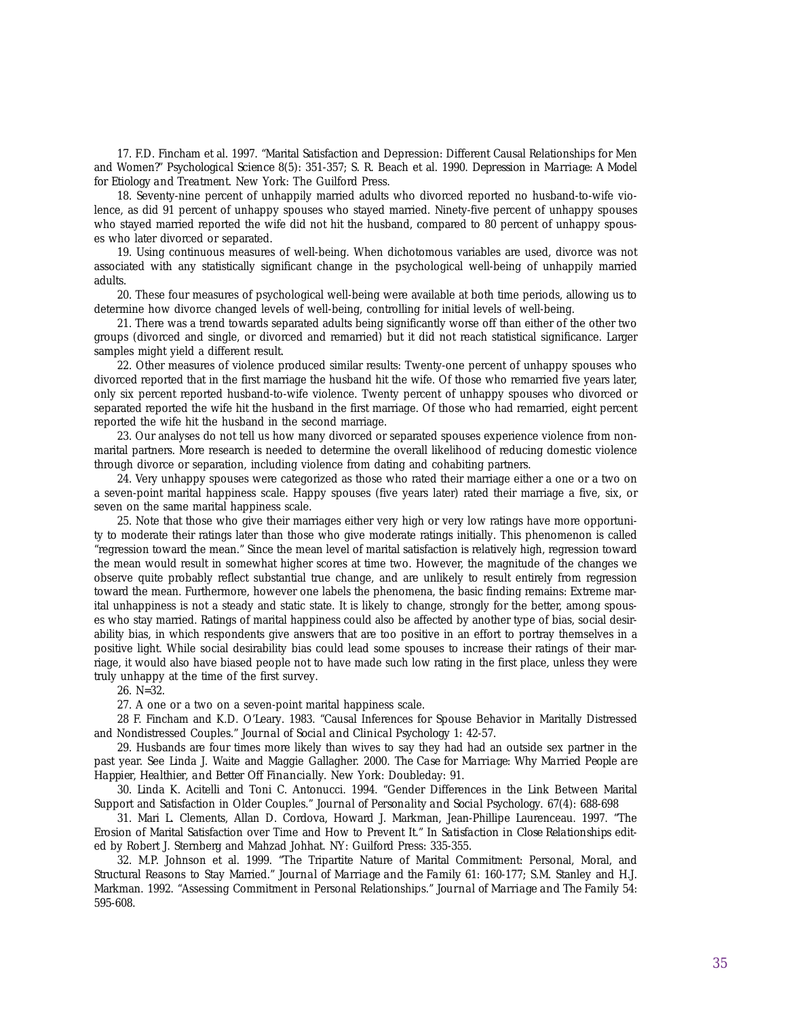17. F.D. Fincham et al. 1997. "Marital Satisfaction and Depression: Different Causal Relationships for Men and Women?" *Psychological Science* 8(5): 351-357; S. R. Beach et al. 1990. *Depression in Marriage: A Model for Etiology and Treatment*. New York: The Guilford Press.

18. Seventy-nine percent of unhappily married adults who divorced reported no husband-to-wife violence, as did 91 percent of unhappy spouses who stayed married. Ninety-five percent of unhappy spouses who stayed married reported the wife did not hit the husband, compared to 80 percent of unhappy spouses who later divorced or separated.

19. Using continuous measures of well-being. When dichotomous variables are used, divorce was not associated with any statistically significant change in the psychological well-being of unhappily married adults.

20. These four measures of psychological well-being were available at both time periods, allowing us to determine how divorce changed levels of well-being, controlling for initial levels of well-being.

21. There was a trend towards separated adults being significantly worse off than either of the other two groups (divorced and single, or divorced and remarried) but it did not reach statistical significance. Larger samples might yield a different result.

22. Other measures of violence produced similar results: Twenty-one percent of unhappy spouses who divorced reported that in the first marriage the husband hit the wife. Of those who remarried five years later, only six percent reported husband-to-wife violence. Twenty percent of unhappy spouses who divorced or separated reported the wife hit the husband in the first marriage. Of those who had remarried, eight percent reported the wife hit the husband in the second marriage.

23. Our analyses do not tell us how many divorced or separated spouses experience violence from nonmarital partners. More research is needed to determine the overall likelihood of reducing domestic violence through divorce or separation, including violence from dating and cohabiting partners.

24. Very unhappy spouses were categorized as those who rated their marriage either a one or a two on a seven-point marital happiness scale. Happy spouses (five years later) rated their marriage a five, six, or seven on the same marital happiness scale.

25. Note that those who give their marriages either very high or very low ratings have more opportunity to moderate their ratings later than those who give moderate ratings initially. This phenomenon is called "regression toward the mean." Since the mean level of marital satisfaction is relatively high, regression toward the mean would result in somewhat higher scores at time two. However, the magnitude of the changes we observe quite probably reflect substantial true change, and are unlikely to result entirely from regression toward the mean. Furthermore, however one labels the phenomena, the basic finding remains: Extreme marital unhappiness is not a steady and static state. It is likely to change, strongly for the better, among spouses who stay married. Ratings of marital happiness could also be affected by another type of bias, social desirability bias, in which respondents give answers that are too positive in an effort to portray themselves in a positive light. While social desirability bias could lead some spouses to increase their ratings of their marriage, it would also have biased people not to have made such low rating in the first place, unless they were truly unhappy at the time of the first survey.

26. N=32.

27. A one or a two on a seven-point marital happiness scale.

28 F. Fincham and K.D. O'Leary. 1983. "Causal Inferences for Spouse Behavior in Maritally Distressed and Nondistressed Couples." *Journal of Social and Clinical Psychology* 1: 42-57.

29. Husbands are four times more likely than wives to say they had had an outside sex partner in the past year. See Linda J. Waite and Maggie Gallagher. 2000. *The Case for Marriage: Why Married People are Happier, Healthier, and Better Off Financially.* New York: Doubleday: 91.

30. Linda K. Acitelli and Toni C. Antonucci. 1994. "Gender Differences in the Link Between Marital Support and Satisfaction in Older Couples." *Journal of Personality and Social Psychology.* 67(4): 688-698

31. Mari L. Clements, Allan D. Cordova, Howard J. Markman, Jean-Phillipe Laurenceau. 1997. "The Erosion of Marital Satisfaction over Time and How to Prevent It." In *Satisfaction in Close Relationships* edited by Robert J. Sternberg and Mahzad Johhat. NY: Guilford Press: 335-355.

32. M.P. Johnson et al. 1999. "The Tripartite Nature of Marital Commitment: Personal, Moral, and Structural Reasons to Stay Married." *Journal of Marriage and the Family* 61: 160-177; S.M. Stanley and H.J. Markman. 1992. "Assessing Commitment in Personal Relationships." *Journal of Marriage and The Family* 54: 595-608.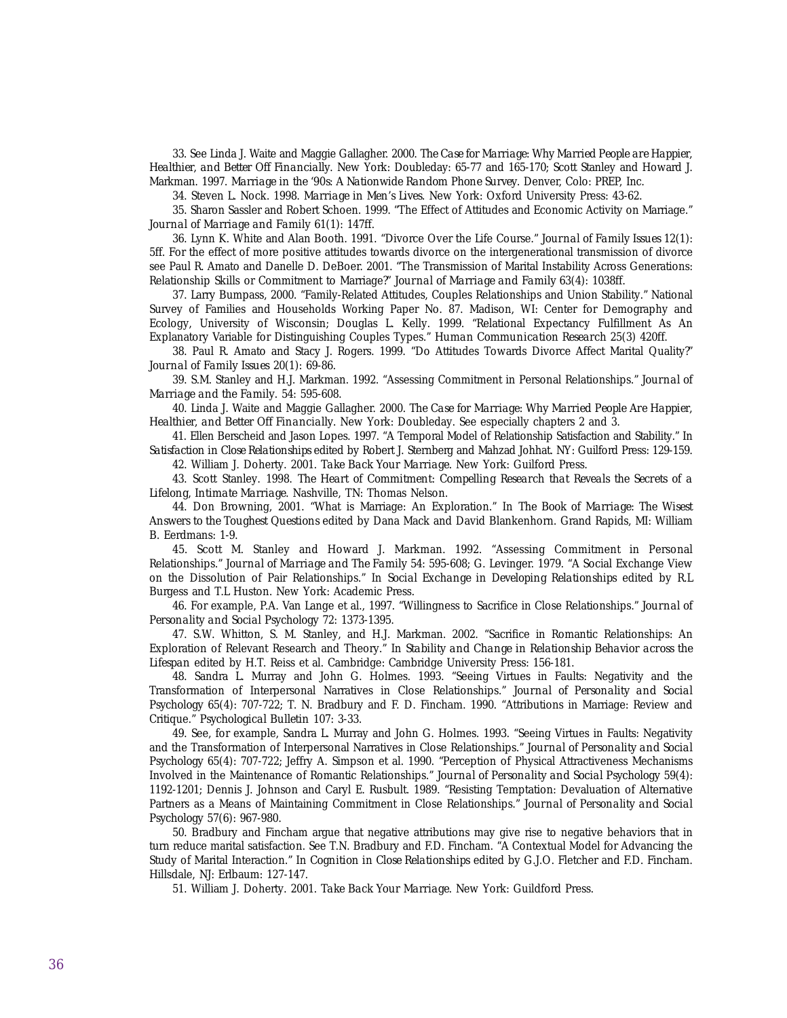33. See Linda J. Waite and Maggie Gallagher. 2000. *The Case for Marriage: Why Married People are Happier, Healthier, and Better Off Financially.* New York: Doubleday: 65-77 and 165-170; Scott Stanley and Howard J. Markman. 1997. *Marriage in the '90s: A Nationwide Random Phone Survey*. Denver, Colo: PREP, Inc.

34. Steven L. Nock. 1998. *Marriage in Men's Lives.* New York: Oxford University Press: 43-62.

35. Sharon Sassler and Robert Schoen. 1999. "The Effect of Attitudes and Economic Activity on Marriage." *Journal of Marriage and Family* 61(1): 147ff.

36. Lynn K. White and Alan Booth. 1991. "Divorce Over the Life Course." *Journal of Family Issues* 12(1): 5ff. For the effect of more positive attitudes towards divorce on the intergenerational transmission of divorce see Paul R. Amato and Danelle D. DeBoer. 2001. "The Transmission of Marital Instability Across Generations: Relationship Skills or Commitment to Marriage?" *Journal of Marriage and Family* 63(4): 1038ff.

37. Larry Bumpass, 2000. "Family-Related Attitudes, Couples Relationships and Union Stability." National Survey of Families and Households Working Paper No. 87. Madison, WI: Center for Demography and Ecology, University of Wisconsin; Douglas L. Kelly. 1999. "Relational Expectancy Fulfillment As An Explanatory Variable for Distinguishing Couples Types." *Human Communication Research* 25(3) 420ff.

38. Paul R. Amato and Stacy J. Rogers. 1999. "Do Attitudes Towards Divorce Affect Marital Quality?" *Journal of Family Issues* 20(1): 69-86.

39. S.M. Stanley and H.J. Markman. 1992. "Assessing Commitment in Personal Relationships." *Journal of Marriage and the Family.* 54: 595-608.

40. Linda J. Waite and Maggie Gallagher. 2000. *The Case for Marriage: Why Married People Are Happier, Healthier, and Better Off Financially.* New York: Doubleday. See especially chapters 2 and 3.

41. Ellen Berscheid and Jason Lopes. 1997. "A Temporal Model of Relationship Satisfaction and Stability." In *Satisfaction in Close Relationships* edited by Robert J. Sternberg and Mahzad Johhat. NY: Guilford Press: 129-159. 42. William J. Doherty. 2001. *Take Back Your Marriage.* New York: Guilford Press.

43. Scott Stanley. 1998. *The Heart of Commitment: Compelling Research that Reveals the Secrets of a Lifelong, Intimate Marriage*. Nashville, TN: Thomas Nelson.

44. Don Browning, 2001. "What is Marriage: An Exploration." In *The Book of Marriage: The Wisest Answers to the Toughest Questions* edited by Dana Mack and David Blankenhorn. Grand Rapids, MI: William B. Eerdmans: 1-9.

45. Scott M. Stanley and Howard J. Markman. 1992. "Assessing Commitment in Personal Relationships." *Journal of Marriage and The Family* 54: 595-608; G. Levinger. 1979. "A Social Exchange View on the Dissolution of Pair Relationships." In *Social Exchange in Developing Relationships* edited by R.L Burgess and T.L Huston. New York: Academic Press.

46. For example, P.A. Van Lange et al., 1997. "Willingness to Sacrifice in Close Relationships." *Journal of Personality and Social Psychology* 72: 1373-1395.

47. S.W. Whitton, S. M. Stanley, and H.J. Markman. 2002. "Sacrifice in Romantic Relationships: An Exploration of Relevant Research and Theory." In *Stability and Change in Relationship Behavior across the Lifespan* edited by H.T. Reiss et al. Cambridge: Cambridge University Press: 156-181.

48. Sandra L. Murray and John G. Holmes. 1993. "Seeing Virtues in Faults: Negativity and the Transformation of Interpersonal Narratives in Close Relationships." *Journal of Personality and Social Psychology* 65(4): 707-722; T. N. Bradbury and F. D. Fincham. 1990. "Attributions in Marriage: Review and Critique." *Psychological Bulletin* 107: 3-33.

49. See, for example, Sandra L. Murray and John G. Holmes. 1993. "Seeing Virtues in Faults: Negativity and the Transformation of Interpersonal Narratives in Close Relationships." *Journal of Personality and Social Psychology* 65(4): 707-722; Jeffry A. Simpson et al. 1990. "Perception of Physical Attractiveness Mechanisms Involved in the Maintenance of Romantic Relationships." *Journal of Personality and Social Psychology* 59(4): 1192-1201; Dennis J. Johnson and Caryl E. Rusbult. 1989. "Resisting Temptation: Devaluation of Alternative Partners as a Means of Maintaining Commitment in Close Relationships." *Journal of Personality and Social Psychology* 57(6): 967-980.

50. Bradbury and Fincham argue that negative attributions may give rise to negative behaviors that in turn reduce marital satisfaction. See T.N. Bradbury and F.D. Fincham. "A Contextual Model for Advancing the Study of Marital Interaction." In *Cognition in Close Relationships* edited by G.J.O. Fletcher and F.D. Fincham. Hillsdale, NJ: Erlbaum: 127-147.

51. William J. Doherty. 2001. *Take Back Your Marriage*. New York: Guildford Press.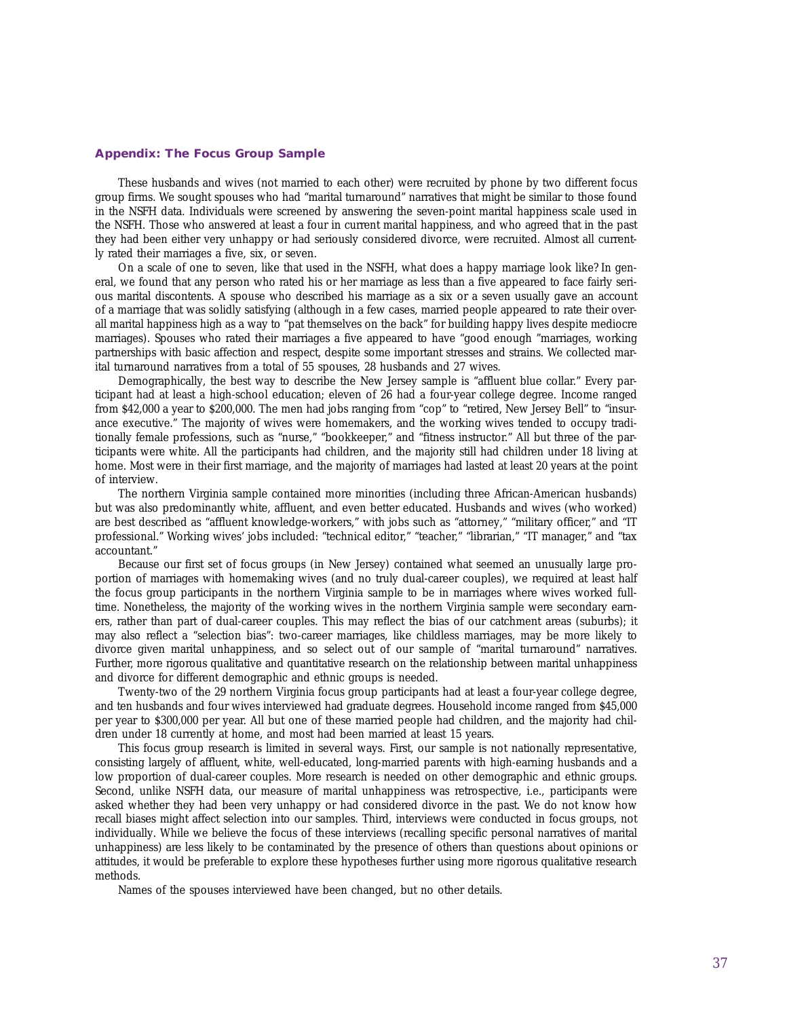#### **Appendix: The Focus Group Sample**

These husbands and wives (not married to each other) were recruited by phone by two different focus group firms. We sought spouses who had "marital turnaround" narratives that might be similar to those found in the NSFH data. Individuals were screened by answering the seven-point marital happiness scale used in the NSFH. Those who answered at least a four in current marital happiness, and who agreed that in the past they had been either very unhappy or had seriously considered divorce, were recruited. Almost all currently rated their marriages a five, six, or seven.

On a scale of one to seven, like that used in the NSFH, what does a happy marriage look like? In general, we found that any person who rated his or her marriage as less than a five appeared to face fairly serious marital discontents. A spouse who described his marriage as a six or a seven usually gave an account of a marriage that was solidly satisfying (although in a few cases, married people appeared to rate their overall marital happiness high as a way to "pat themselves on the back" for building happy lives despite mediocre marriages). Spouses who rated their marriages a five appeared to have "good enough "marriages, working partnerships with basic affection and respect, despite some important stresses and strains. We collected marital turnaround narratives from a total of 55 spouses, 28 husbands and 27 wives.

Demographically, the best way to describe the New Jersey sample is "affluent blue collar." Every participant had at least a high-school education; eleven of 26 had a four-year college degree. Income ranged from \$42,000 a year to \$200,000. The men had jobs ranging from "cop" to "retired, New Jersey Bell" to "insurance executive." The majority of wives were homemakers, and the working wives tended to occupy traditionally female professions, such as "nurse," "bookkeeper," and "fitness instructor." All but three of the participants were white. All the participants had children, and the majority still had children under 18 living at home. Most were in their first marriage, and the majority of marriages had lasted at least 20 years at the point of interview.

The northern Virginia sample contained more minorities (including three African-American husbands) but was also predominantly white, affluent, and even better educated. Husbands and wives (who worked) are best described as "affluent knowledge-workers," with jobs such as "attorney," "military officer," and "IT professional." Working wives' jobs included: "technical editor," "teacher," "librarian," "IT manager," and "tax accountant."

Because our first set of focus groups (in New Jersey) contained what seemed an unusually large proportion of marriages with homemaking wives (and no truly dual-career couples), we required at least half the focus group participants in the northern Virginia sample to be in marriages where wives worked fulltime. Nonetheless, the majority of the working wives in the northern Virginia sample were secondary earners, rather than part of dual-career couples. This may reflect the bias of our catchment areas (suburbs); it may also reflect a "selection bias": two-career marriages, like childless marriages, may be more likely to divorce given marital unhappiness, and so select out of our sample of "marital turnaround" narratives. Further, more rigorous qualitative and quantitative research on the relationship between marital unhappiness and divorce for different demographic and ethnic groups is needed.

Twenty-two of the 29 northern Virginia focus group participants had at least a four-year college degree, and ten husbands and four wives interviewed had graduate degrees. Household income ranged from \$45,000 per year to \$300,000 per year. All but one of these married people had children, and the majority had children under 18 currently at home, and most had been married at least 15 years.

This focus group research is limited in several ways. First, our sample is not nationally representative, consisting largely of affluent, white, well-educated, long-married parents with high-earning husbands and a low proportion of dual-career couples. More research is needed on other demographic and ethnic groups. Second, unlike NSFH data, our measure of marital unhappiness was retrospective, i.e., participants were asked whether they had been very unhappy or had considered divorce in the past. We do not know how recall biases might affect selection into our samples. Third, interviews were conducted in focus groups, not individually. While we believe the focus of these interviews (recalling specific personal narratives of marital unhappiness) are less likely to be contaminated by the presence of others than questions about opinions or attitudes, it would be preferable to explore these hypotheses further using more rigorous qualitative research methods.

Names of the spouses interviewed have been changed, but no other details.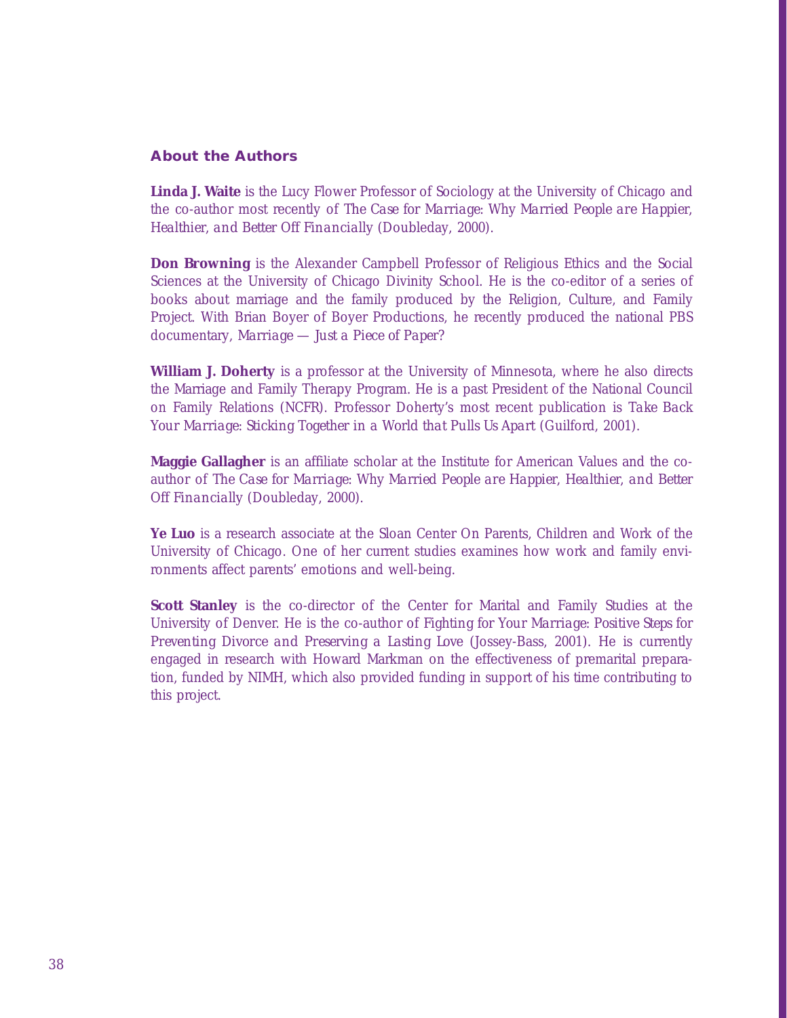#### **About the Authors**

**Linda J. Waite** is the Lucy Flower Professor of Sociology at the University of Chicago and the co-author most recently of *The Case for Marriage: Why Married People are Happier, Healthier, and Better Off Financially* (Doubleday, 2000).

**Don Browning** is the Alexander Campbell Professor of Religious Ethics and the Social Sciences at the University of Chicago Divinity School. He is the co-editor of a series of books about marriage and the family produced by the Religion, Culture, and Family Project. With Brian Boyer of Boyer Productions, he recently produced the national PBS documentary, *Marriage — Just a Piece of Paper?*

**William J. Doherty** is a professor at the University of Minnesota, where he also directs the Marriage and Family Therapy Program. He is a past President of the National Council on Family Relations (NCFR). Professor Doherty's most recent publication is *Take Back Your Marriage: Sticking Together in a World that Pulls Us Apart* (Guilford, 2001).

**Maggie Gallagher** is an affiliate scholar at the Institute for American Values and the coauthor of *The Case for Marriage: Why Married People are Happier, Healthier, and Better Off Financially* (Doubleday, 2000).

**Ye Luo** is a research associate at the Sloan Center On Parents, Children and Work of the University of Chicago. One of her current studies examines how work and family environments affect parents' emotions and well-being.

**Scott Stanley** is the co-director of the Center for Marital and Family Studies at the University of Denver. He is the co-author of *Fighting for Your Marriage: Positive Steps for Preventing Divorce and Preserving a Lasting Love* (Jossey-Bass, 2001). He is currently engaged in research with Howard Markman on the effectiveness of premarital preparation, funded by NIMH, which also provided funding in support of his time contributing to this project.